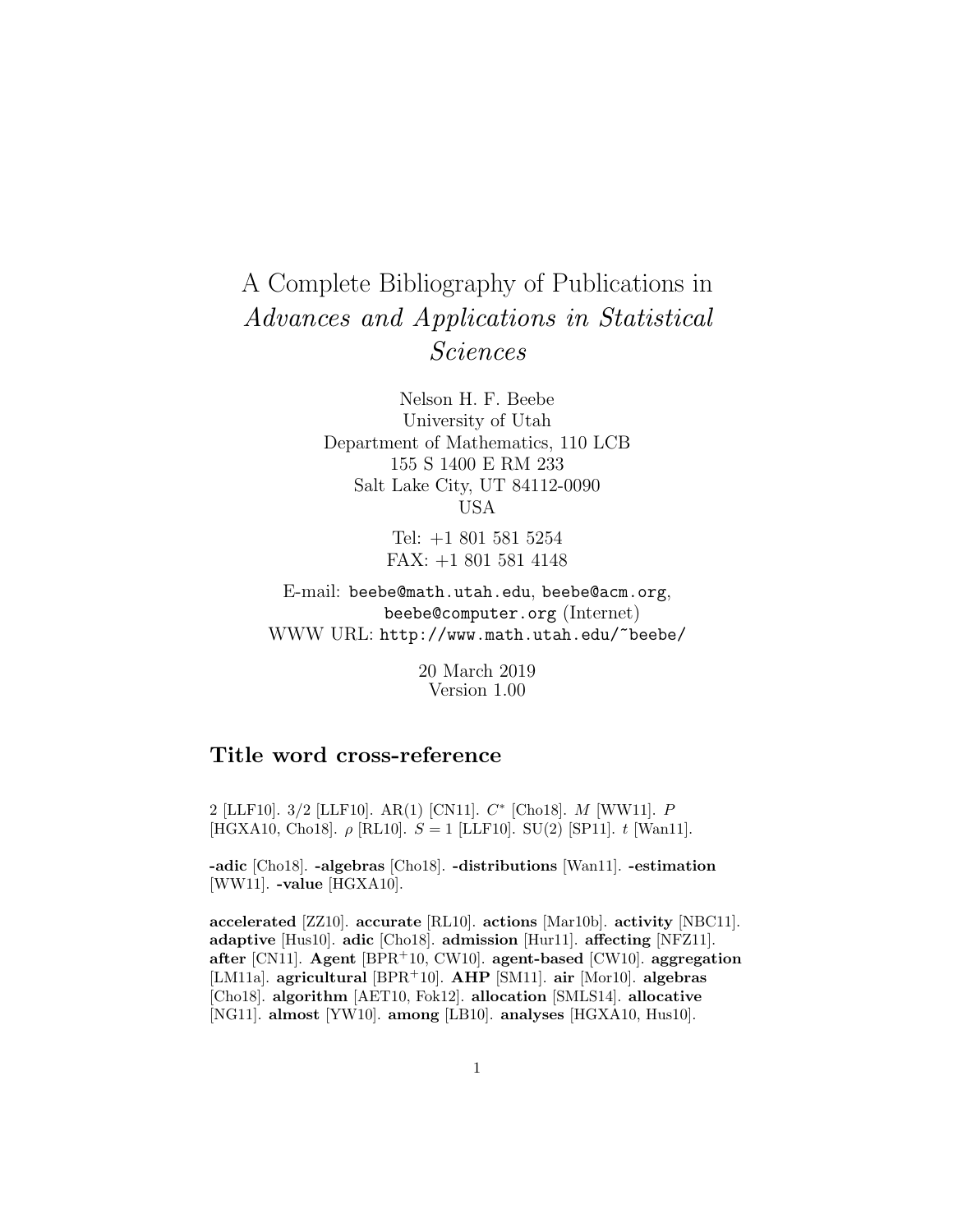# A Complete Bibliography of Publications in Advances and Applications in Statistical Sciences

Nelson H. F. Beebe University of Utah Department of Mathematics, 110 LCB 155 S 1400 E RM 233 Salt Lake City, UT 84112-0090 USA

> Tel: +1 801 581 5254 FAX: +1 801 581 4148

E-mail: beebe@math.utah.edu, beebe@acm.org, beebe@computer.org (Internet) WWW URL: http://www.math.utah.edu/~beebe/

> 20 March 2019 Version 1.00

# **Title word cross-reference**

2 [LLF10]. 3/2 [LLF10]. AR(1) [CN11]. C<sup>∗</sup> [Cho18]. M [WW11]. P [HGXA10, Cho18].  $\rho$  [RL10].  $S = 1$  [LLF10]. SU(2) [SP11]. t [Wan11].

**-adic** [Cho18]. **-algebras** [Cho18]. **-distributions** [Wan11]. **-estimation** [WW11]. **-value** [HGXA10].

**accelerated** [ZZ10]. **accurate** [RL10]. **actions** [Mar10b]. **activity** [NBC11]. **adaptive** [Hus10]. **adic** [Cho18]. **admission** [Hur11]. **affecting** [NFZ11]. **after** [CN11]. **Agent** [BPR<sup>+</sup>10, CW10]. **agent-based** [CW10]. **aggregation** [LM11a]. **agricultural** [BPR<sup>+</sup>10]. **AHP** [SM11]. **air** [Mor10]. **algebras** [Cho18]. **algorithm** [AET10, Fok12]. **allocation** [SMLS14]. **allocative** [NG11]. **almost** [YW10]. **among** [LB10]. **analyses** [HGXA10, Hus10].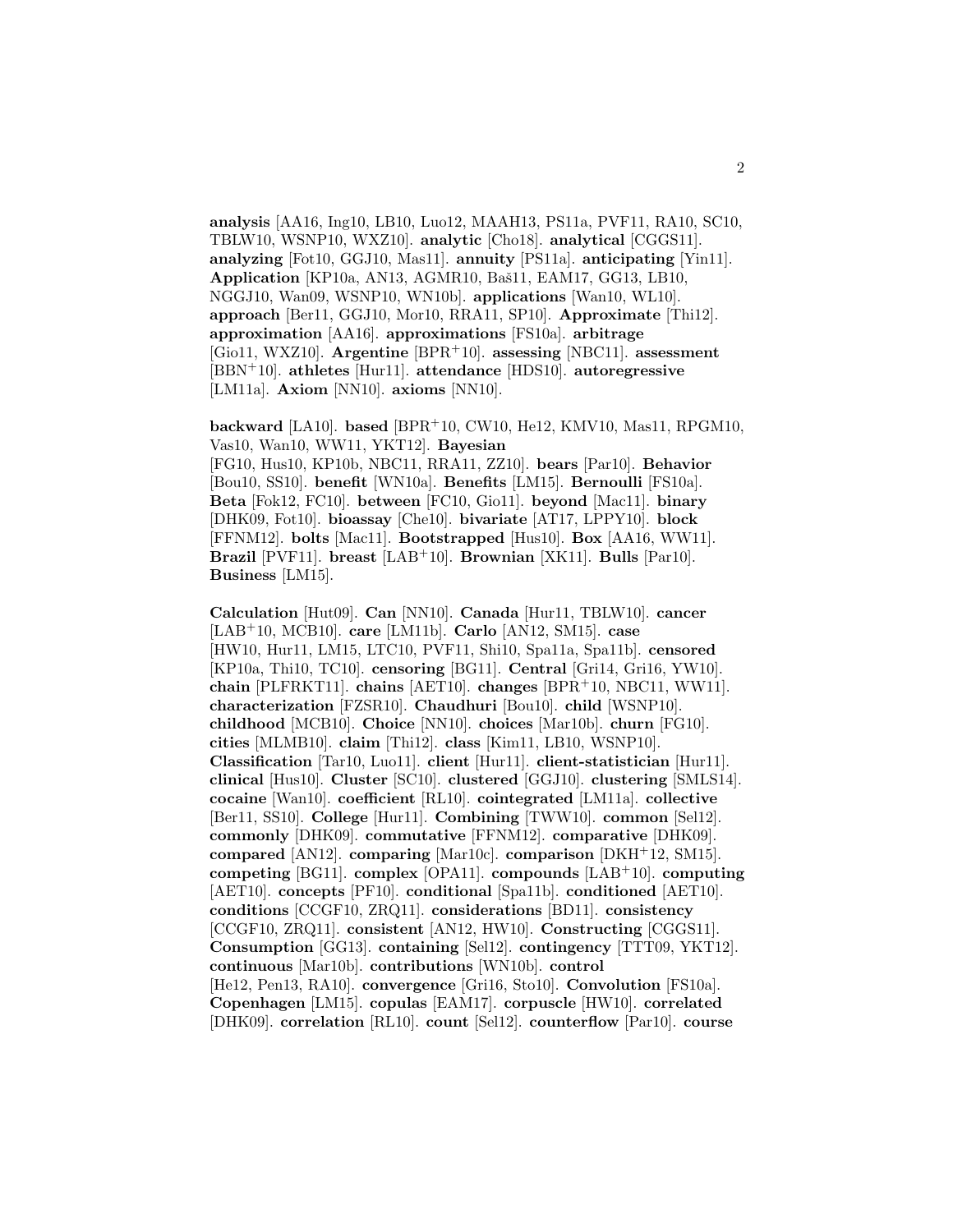**analysis** [AA16, Ing10, LB10, Luo12, MAAH13, PS11a, PVF11, RA10, SC10, TBLW10, WSNP10, WXZ10]. **analytic** [Cho18]. **analytical** [CGGS11]. **analyzing** [Fot10, GGJ10, Mas11]. **annuity** [PS11a]. **anticipating** [Yin11]. **Application** [KP10a, AN13, AGMR10, Baš11, EAM17, GG13, LB10, NGGJ10, Wan09, WSNP10, WN10b]. **applications** [Wan10, WL10]. **approach** [Ber11, GGJ10, Mor10, RRA11, SP10]. **Approximate** [Thi12]. **approximation** [AA16]. **approximations** [FS10a]. **arbitrage** [Gio11, WXZ10]. **Argentine** [BPR<sup>+</sup>10]. **assessing** [NBC11]. **assessment** [BBN<sup>+</sup>10]. **athletes** [Hur11]. **attendance** [HDS10]. **autoregressive** [LM11a]. **Axiom** [NN10]. **axioms** [NN10].

**backward** [LA10]. **based** [BPR<sup>+</sup>10, CW10, He12, KMV10, Mas11, RPGM10, Vas10, Wan10, WW11, YKT12]. **Bayesian** [FG10, Hus10, KP10b, NBC11, RRA11, ZZ10]. **bears** [Par10]. **Behavior** [Bou10, SS10]. **benefit** [WN10a]. **Benefits** [LM15]. **Bernoulli** [FS10a]. **Beta** [Fok12, FC10]. **between** [FC10, Gio11]. **beyond** [Mac11]. **binary** [DHK09, Fot10]. **bioassay** [Che10]. **bivariate** [AT17, LPPY10]. **block** [FFNM12]. **bolts** [Mac11]. **Bootstrapped** [Hus10]. **Box** [AA16, WW11]. **Brazil** [PVF11]. **breast** [LAB<sup>+</sup>10]. **Brownian** [XK11]. **Bulls** [Par10]. **Business** [LM15].

**Calculation** [Hut09]. **Can** [NN10]. **Canada** [Hur11, TBLW10]. **cancer** [LAB<sup>+</sup>10, MCB10]. **care** [LM11b]. **Carlo** [AN12, SM15]. **case** [HW10, Hur11, LM15, LTC10, PVF11, Shi10, Spa11a, Spa11b]. **censored** [KP10a, Thi10, TC10]. **censoring** [BG11]. **Central** [Gri14, Gri16, YW10]. **chain** [PLFRKT11]. **chains** [AET10]. **changes** [BPR<sup>+</sup>10, NBC11, WW11]. **characterization** [FZSR10]. **Chaudhuri** [Bou10]. **child** [WSNP10]. **childhood** [MCB10]. **Choice** [NN10]. **choices** [Mar10b]. **churn** [FG10]. **cities** [MLMB10]. **claim** [Thi12]. **class** [Kim11, LB10, WSNP10]. **Classification** [Tar10, Luo11]. **client** [Hur11]. **client-statistician** [Hur11]. **clinical** [Hus10]. **Cluster** [SC10]. **clustered** [GGJ10]. **clustering** [SMLS14]. **cocaine** [Wan10]. **coefficient** [RL10]. **cointegrated** [LM11a]. **collective** [Ber11, SS10]. **College** [Hur11]. **Combining** [TWW10]. **common** [Sel12]. **commonly** [DHK09]. **commutative** [FFNM12]. **comparative** [DHK09]. **compared** [AN12]. **comparing** [Mar10c]. **comparison** [DKH<sup>+</sup>12, SM15]. **competing** [BG11]. **complex** [OPA11]. **compounds** [LAB<sup>+</sup>10]. **computing** [AET10]. **concepts** [PF10]. **conditional** [Spa11b]. **conditioned** [AET10]. **conditions** [CCGF10, ZRQ11]. **considerations** [BD11]. **consistency** [CCGF10, ZRQ11]. **consistent** [AN12, HW10]. **Constructing** [CGGS11]. **Consumption** [GG13]. **containing** [Sel12]. **contingency** [TTT09, YKT12]. **continuous** [Mar10b]. **contributions** [WN10b]. **control** [He12, Pen13, RA10]. **convergence** [Gri16, Sto10]. **Convolution** [FS10a]. **Copenhagen** [LM15]. **copulas** [EAM17]. **corpuscle** [HW10]. **correlated** [DHK09]. **correlation** [RL10]. **count** [Sel12]. **counterflow** [Par10]. **course**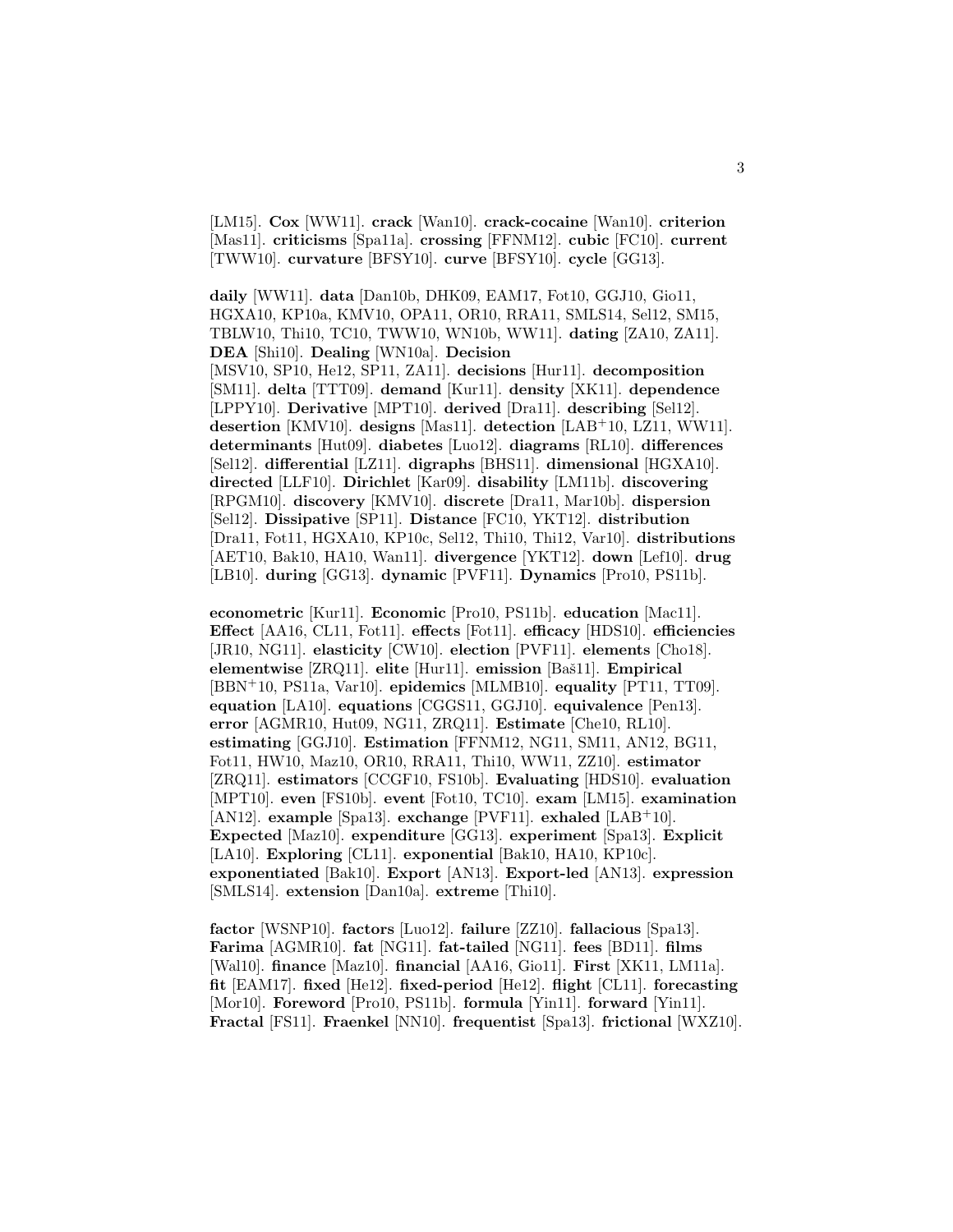[LM15]. **Cox** [WW11]. **crack** [Wan10]. **crack-cocaine** [Wan10]. **criterion** [Mas11]. **criticisms** [Spa11a]. **crossing** [FFNM12]. **cubic** [FC10]. **current** [TWW10]. **curvature** [BFSY10]. **curve** [BFSY10]. **cycle** [GG13].

**daily** [WW11]. **data** [Dan10b, DHK09, EAM17, Fot10, GGJ10, Gio11, HGXA10, KP10a, KMV10, OPA11, OR10, RRA11, SMLS14, Sel12, SM15, TBLW10, Thi10, TC10, TWW10, WN10b, WW11]. **dating** [ZA10, ZA11]. **DEA** [Shi10]. **Dealing** [WN10a]. **Decision** [MSV10, SP10, He12, SP11, ZA11]. **decisions** [Hur11]. **decomposition**

[SM11]. **delta** [TTT09]. **demand** [Kur11]. **density** [XK11]. **dependence** [LPPY10]. **Derivative** [MPT10]. **derived** [Dra11]. **describing** [Sel12]. **desertion** [KMV10]. **designs** [Mas11]. **detection** [LAB<sup>+</sup>10, LZ11, WW11]. **determinants** [Hut09]. **diabetes** [Luo12]. **diagrams** [RL10]. **differences** [Sel12]. **differential** [LZ11]. **digraphs** [BHS11]. **dimensional** [HGXA10]. **directed** [LLF10]. **Dirichlet** [Kar09]. **disability** [LM11b]. **discovering** [RPGM10]. **discovery** [KMV10]. **discrete** [Dra11, Mar10b]. **dispersion** [Sel12]. **Dissipative** [SP11]. **Distance** [FC10, YKT12]. **distribution** [Dra11, Fot11, HGXA10, KP10c, Sel12, Thi10, Thi12, Var10]. **distributions** [AET10, Bak10, HA10, Wan11]. **divergence** [YKT12]. **down** [Lef10]. **drug** [LB10]. **during** [GG13]. **dynamic** [PVF11]. **Dynamics** [Pro10, PS11b].

**econometric** [Kur11]. **Economic** [Pro10, PS11b]. **education** [Mac11]. **Effect** [AA16, CL11, Fot11]. **effects** [Fot11]. **efficacy** [HDS10]. **efficiencies** [JR10, NG11]. **elasticity** [CW10]. **election** [PVF11]. **elements** [Cho18]. **elementwise** [ZRQ11]. **elite** [Hur11]. **emission** [Baˇs11]. **Empirical** [BBN<sup>+</sup>10, PS11a, Var10]. **epidemics** [MLMB10]. **equality** [PT11, TT09]. **equation** [LA10]. **equations** [CGGS11, GGJ10]. **equivalence** [Pen13]. **error** [AGMR10, Hut09, NG11, ZRQ11]. **Estimate** [Che10, RL10]. **estimating** [GGJ10]. **Estimation** [FFNM12, NG11, SM11, AN12, BG11, Fot11, HW10, Maz10, OR10, RRA11, Thi10, WW11, ZZ10]. **estimator** [ZRQ11]. **estimators** [CCGF10, FS10b]. **Evaluating** [HDS10]. **evaluation** [MPT10]. **even** [FS10b]. **event** [Fot10, TC10]. **exam** [LM15]. **examination** [AN12]. **example** [Spa13]. **exchange** [PVF11]. **exhaled** [LAB<sup>+</sup>10]. **Expected** [Maz10]. **expenditure** [GG13]. **experiment** [Spa13]. **Explicit** [LA10]. **Exploring** [CL11]. **exponential** [Bak10, HA10, KP10c]. **exponentiated** [Bak10]. **Export** [AN13]. **Export-led** [AN13]. **expression** [SMLS14]. **extension** [Dan10a]. **extreme** [Thi10].

**factor** [WSNP10]. **factors** [Luo12]. **failure** [ZZ10]. **fallacious** [Spa13]. **Farima** [AGMR10]. **fat** [NG11]. **fat-tailed** [NG11]. **fees** [BD11]. **films** [Wal10]. **finance** [Maz10]. **financial** [AA16, Gio11]. **First** [XK11, LM11a]. **fit** [EAM17]. **fixed** [He12]. **fixed-period** [He12]. **flight** [CL11]. **forecasting** [Mor10]. **Foreword** [Pro10, PS11b]. **formula** [Yin11]. **forward** [Yin11]. **Fractal** [FS11]. **Fraenkel** [NN10]. **frequentist** [Spa13]. **frictional** [WXZ10].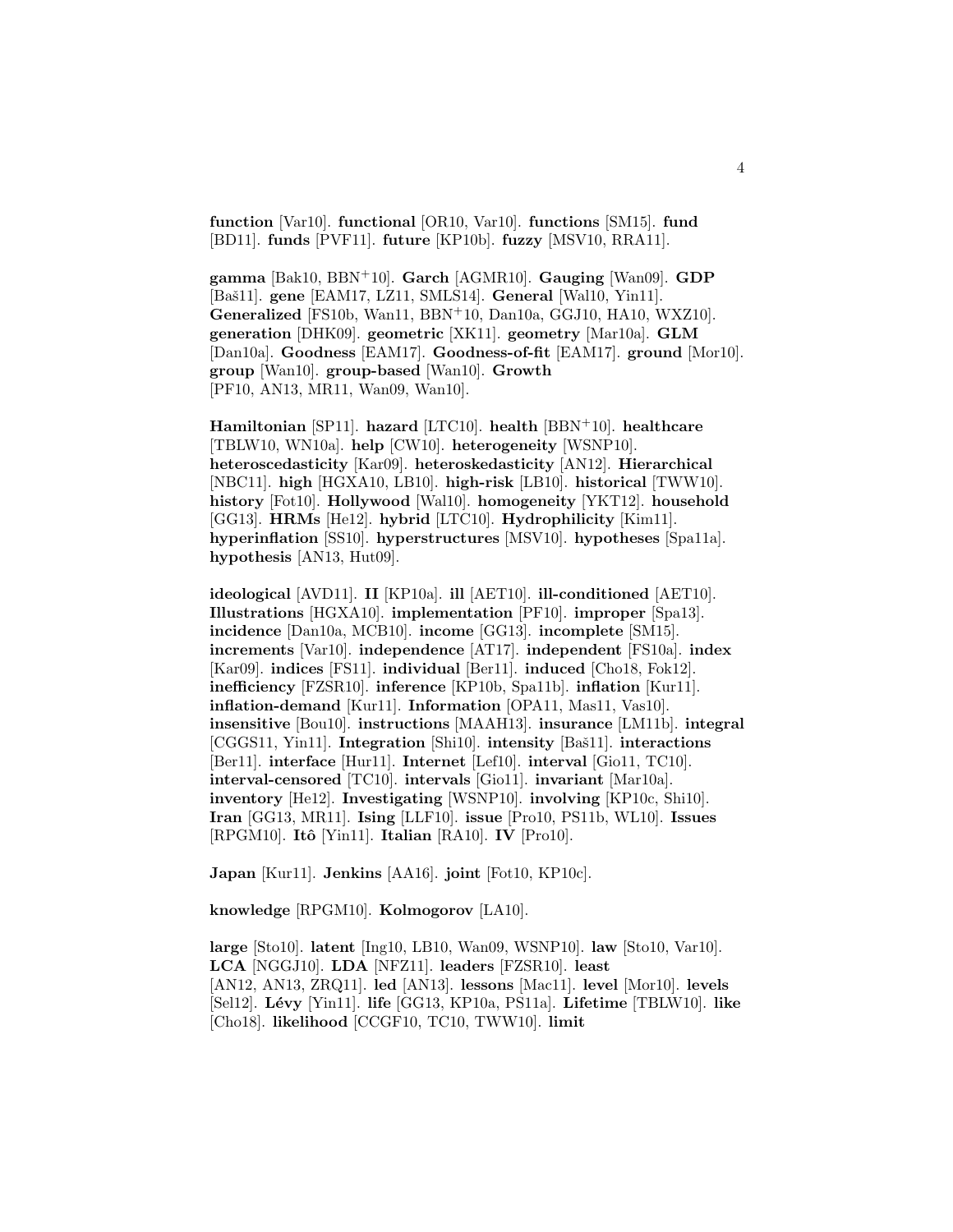**function** [Var10]. **functional** [OR10, Var10]. **functions** [SM15]. **fund** [BD11]. **funds** [PVF11]. **future** [KP10b]. **fuzzy** [MSV10, RRA11].

**gamma** [Bak10, BBN<sup>+</sup>10]. **Garch** [AGMR10]. **Gauging** [Wan09]. **GDP** [Baˇs11]. **gene** [EAM17, LZ11, SMLS14]. **General** [Wal10, Yin11]. **Generalized** [FS10b, Wan11, BBN<sup>+</sup>10, Dan10a, GGJ10, HA10, WXZ10]. **generation** [DHK09]. **geometric** [XK11]. **geometry** [Mar10a]. **GLM** [Dan10a]. **Goodness** [EAM17]. **Goodness-of-fit** [EAM17]. **ground** [Mor10]. **group** [Wan10]. **group-based** [Wan10]. **Growth** [PF10, AN13, MR11, Wan09, Wan10].

**Hamiltonian** [SP11]. **hazard** [LTC10]. **health** [BBN<sup>+</sup>10]. **healthcare** [TBLW10, WN10a]. **help** [CW10]. **heterogeneity** [WSNP10]. **heteroscedasticity** [Kar09]. **heteroskedasticity** [AN12]. **Hierarchical** [NBC11]. **high** [HGXA10, LB10]. **high-risk** [LB10]. **historical** [TWW10]. **history** [Fot10]. **Hollywood** [Wal10]. **homogeneity** [YKT12]. **household** [GG13]. **HRMs** [He12]. **hybrid** [LTC10]. **Hydrophilicity** [Kim11]. **hyperinflation** [SS10]. **hyperstructures** [MSV10]. **hypotheses** [Spa11a]. **hypothesis** [AN13, Hut09].

**ideological** [AVD11]. **II** [KP10a]. **ill** [AET10]. **ill-conditioned** [AET10]. **Illustrations** [HGXA10]. **implementation** [PF10]. **improper** [Spa13]. **incidence** [Dan10a, MCB10]. **income** [GG13]. **incomplete** [SM15]. **increments** [Var10]. **independence** [AT17]. **independent** [FS10a]. **index** [Kar09]. **indices** [FS11]. **individual** [Ber11]. **induced** [Cho18, Fok12]. **inefficiency** [FZSR10]. **inference** [KP10b, Spa11b]. **inflation** [Kur11]. **inflation-demand** [Kur11]. **Information** [OPA11, Mas11, Vas10]. **insensitive** [Bou10]. **instructions** [MAAH13]. **insurance** [LM11b]. **integral** [CGGS11, Yin11]. **Integration** [Shi10]. **intensity** [Baš11]. **interactions** [Ber11]. **interface** [Hur11]. **Internet** [Lef10]. **interval** [Gio11, TC10]. **interval-censored** [TC10]. **intervals** [Gio11]. **invariant** [Mar10a]. **inventory** [He12]. **Investigating** [WSNP10]. **involving** [KP10c, Shi10]. **Iran** [GG13, MR11]. **Ising** [LLF10]. **issue** [Pro10, PS11b, WL10]. **Issues** [RPGM10]. **Itˆo** [Yin11]. **Italian** [RA10]. **IV** [Pro10].

**Japan** [Kur11]. **Jenkins** [AA16]. **joint** [Fot10, KP10c].

**knowledge** [RPGM10]. **Kolmogorov** [LA10].

**large** [Sto10]. **latent** [Ing10, LB10, Wan09, WSNP10]. **law** [Sto10, Var10]. **LCA** [NGGJ10]. **LDA** [NFZ11]. **leaders** [FZSR10]. **least** [AN12, AN13, ZRQ11]. **led** [AN13]. **lessons** [Mac11]. **level** [Mor10]. **levels** [Sel12]. **L´evy** [Yin11]. **life** [GG13, KP10a, PS11a]. **Lifetime** [TBLW10]. **like** [Cho18]. **likelihood** [CCGF10, TC10, TWW10]. **limit**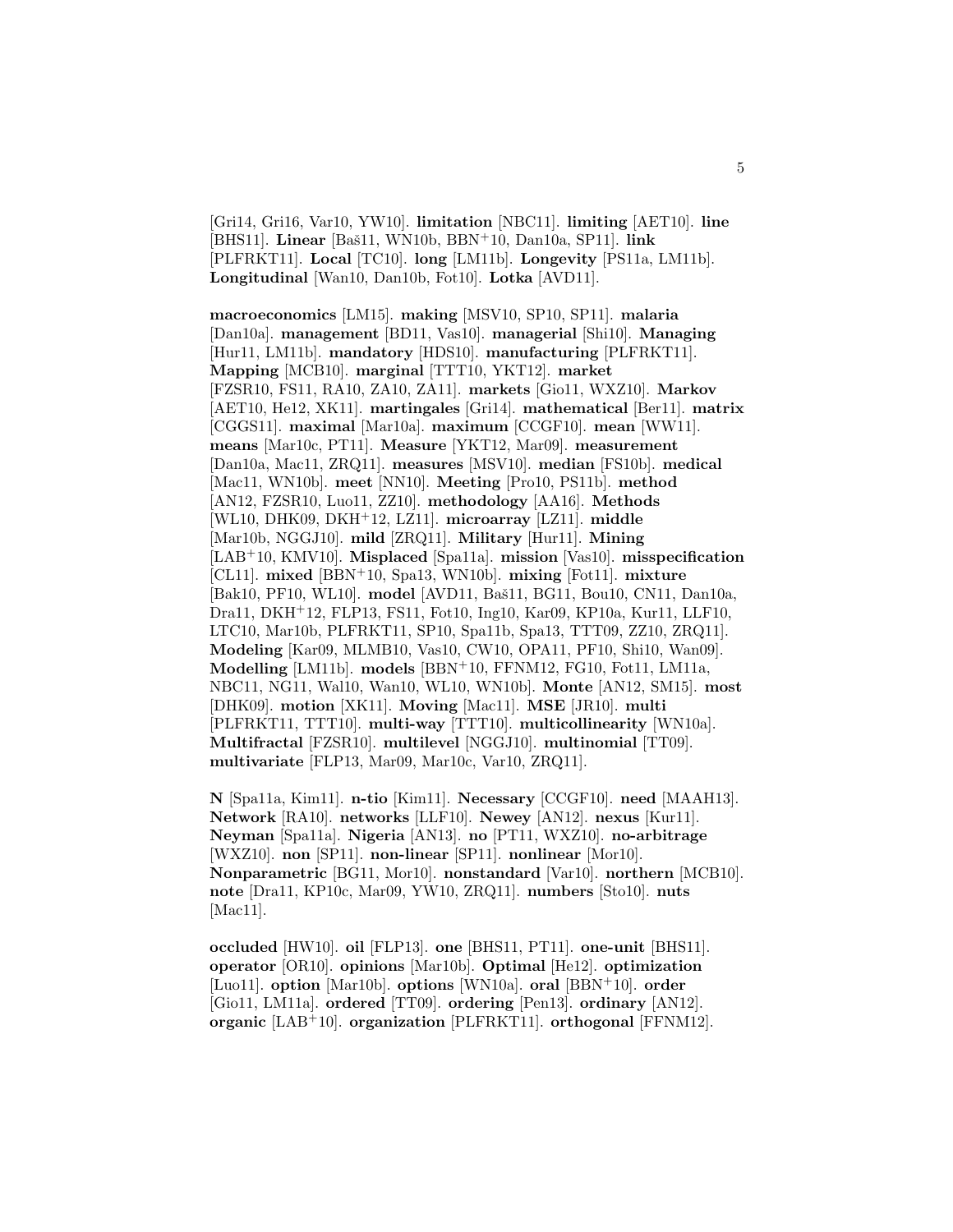[Gri14, Gri16, Var10, YW10]. **limitation** [NBC11]. **limiting** [AET10]. **line** [BHS11]. **Linear** [Baˇs11, WN10b, BBN<sup>+</sup>10, Dan10a, SP11]. **link** [PLFRKT11]. **Local** [TC10]. **long** [LM11b]. **Longevity** [PS11a, LM11b]. **Longitudinal** [Wan10, Dan10b, Fot10]. **Lotka** [AVD11].

**macroeconomics** [LM15]. **making** [MSV10, SP10, SP11]. **malaria** [Dan10a]. **management** [BD11, Vas10]. **managerial** [Shi10]. **Managing** [Hur11, LM11b]. **mandatory** [HDS10]. **manufacturing** [PLFRKT11]. **Mapping** [MCB10]. **marginal** [TTT10, YKT12]. **market** [FZSR10, FS11, RA10, ZA10, ZA11]. **markets** [Gio11, WXZ10]. **Markov** [AET10, He12, XK11]. **martingales** [Gri14]. **mathematical** [Ber11]. **matrix** [CGGS11]. **maximal** [Mar10a]. **maximum** [CCGF10]. **mean** [WW11]. **means** [Mar10c, PT11]. **Measure** [YKT12, Mar09]. **measurement** [Dan10a, Mac11, ZRQ11]. **measures** [MSV10]. **median** [FS10b]. **medical** [Mac11, WN10b]. **meet** [NN10]. **Meeting** [Pro10, PS11b]. **method** [AN12, FZSR10, Luo11, ZZ10]. **methodology** [AA16]. **Methods** [WL10, DHK09, DKH<sup>+</sup>12, LZ11]. **microarray** [LZ11]. **middle** [Mar10b, NGGJ10]. **mild** [ZRQ11]. **Military** [Hur11]. **Mining** [LAB<sup>+</sup>10, KMV10]. **Misplaced** [Spa11a]. **mission** [Vas10]. **misspecification** [CL11]. **mixed** [BBN<sup>+</sup>10, Spa13, WN10b]. **mixing** [Fot11]. **mixture** [Bak10, PF10, WL10]. model [AVD11, Baš11, BG11, Bou10, CN11, Dan10a, Dra11, DKH<sup>+</sup>12, FLP13, FS11, Fot10, Ing10, Kar09, KP10a, Kur11, LLF10, LTC10, Mar10b, PLFRKT11, SP10, Spa11b, Spa13, TTT09, ZZ10, ZRQ11]. **Modeling** [Kar09, MLMB10, Vas10, CW10, OPA11, PF10, Shi10, Wan09]. **Modelling** [LM11b]. **models** [BBN<sup>+</sup>10, FFNM12, FG10, Fot11, LM11a, NBC11, NG11, Wal10, Wan10, WL10, WN10b]. **Monte** [AN12, SM15]. **most** [DHK09]. **motion** [XK11]. **Moving** [Mac11]. **MSE** [JR10]. **multi** [PLFRKT11, TTT10]. **multi-way** [TTT10]. **multicollinearity** [WN10a]. **Multifractal** [FZSR10]. **multilevel** [NGGJ10]. **multinomial** [TT09]. **multivariate** [FLP13, Mar09, Mar10c, Var10, ZRQ11].

**N** [Spa11a, Kim11]. **n-tio** [Kim11]. **Necessary** [CCGF10]. **need** [MAAH13]. **Network** [RA10]. **networks** [LLF10]. **Newey** [AN12]. **nexus** [Kur11]. **Neyman** [Spa11a]. **Nigeria** [AN13]. **no** [PT11, WXZ10]. **no-arbitrage** [WXZ10]. **non** [SP11]. **non-linear** [SP11]. **nonlinear** [Mor10]. **Nonparametric** [BG11, Mor10]. **nonstandard** [Var10]. **northern** [MCB10]. **note** [Dra11, KP10c, Mar09, YW10, ZRQ11]. **numbers** [Sto10]. **nuts** [Mac11].

**occluded** [HW10]. **oil** [FLP13]. **one** [BHS11, PT11]. **one-unit** [BHS11]. **operator** [OR10]. **opinions** [Mar10b]. **Optimal** [He12]. **optimization** [Luo11]. **option** [Mar10b]. **options** [WN10a]. **oral** [BBN<sup>+</sup>10]. **order** [Gio11, LM11a]. **ordered** [TT09]. **ordering** [Pen13]. **ordinary** [AN12]. **organic** [LAB<sup>+</sup>10]. **organization** [PLFRKT11]. **orthogonal** [FFNM12].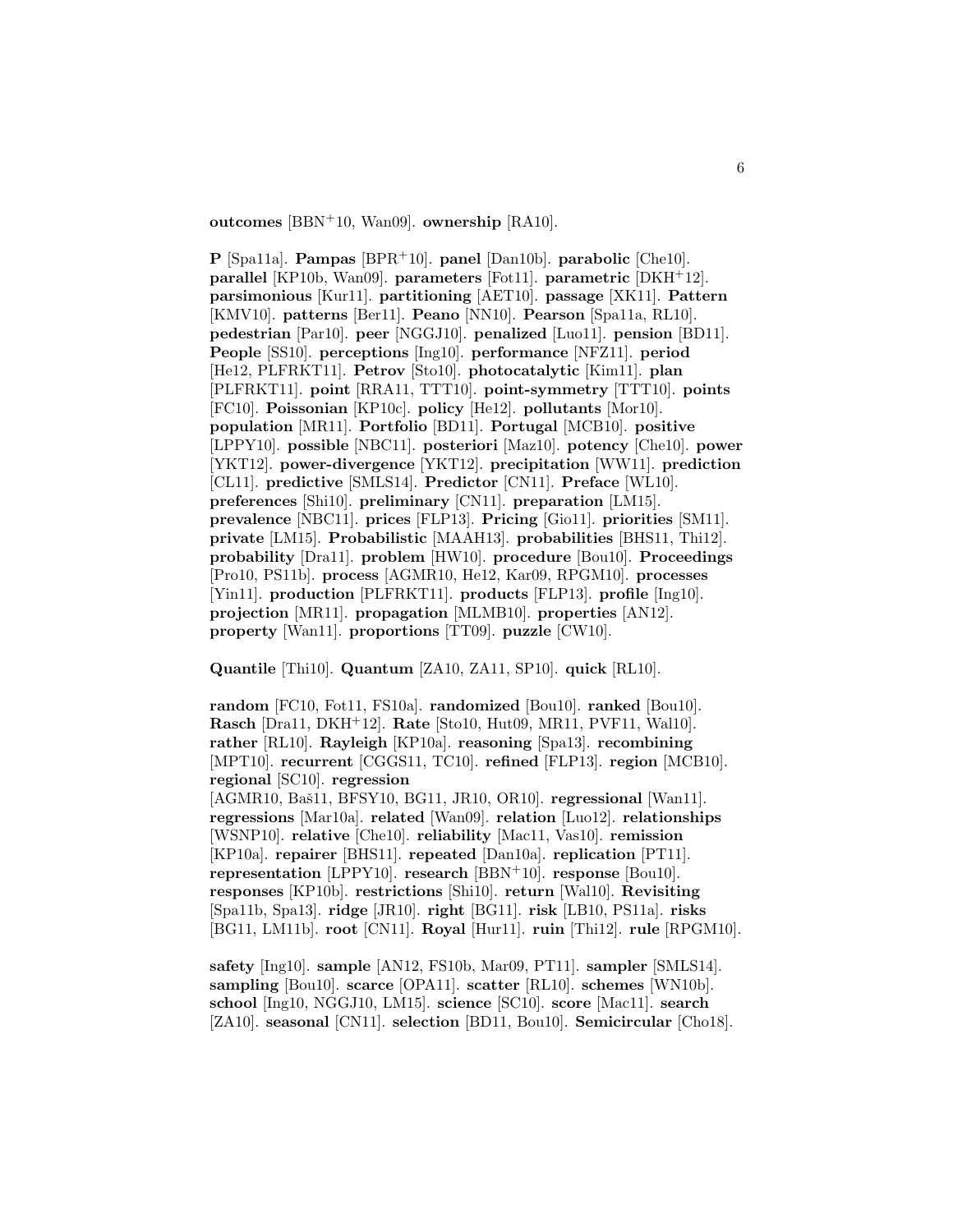**outcomes** [BBN<sup>+</sup>10, Wan09]. **ownership** [RA10].

**P** [Spa11a]. **Pampas** [BPR<sup>+</sup>10]. **panel** [Dan10b]. **parabolic** [Che10]. **parallel** [KP10b, Wan09]. **parameters** [Fot11]. **parametric** [DKH<sup>+</sup>12]. **parsimonious** [Kur11]. **partitioning** [AET10]. **passage** [XK11]. **Pattern** [KMV10]. **patterns** [Ber11]. **Peano** [NN10]. **Pearson** [Spa11a, RL10]. **pedestrian** [Par10]. **peer** [NGGJ10]. **penalized** [Luo11]. **pension** [BD11]. **People** [SS10]. **perceptions** [Ing10]. **performance** [NFZ11]. **period** [He12, PLFRKT11]. **Petrov** [Sto10]. **photocatalytic** [Kim11]. **plan** [PLFRKT11]. **point** [RRA11, TTT10]. **point-symmetry** [TTT10]. **points** [FC10]. **Poissonian** [KP10c]. **policy** [He12]. **pollutants** [Mor10]. **population** [MR11]. **Portfolio** [BD11]. **Portugal** [MCB10]. **positive** [LPPY10]. **possible** [NBC11]. **posteriori** [Maz10]. **potency** [Che10]. **power** [YKT12]. **power-divergence** [YKT12]. **precipitation** [WW11]. **prediction** [CL11]. **predictive** [SMLS14]. **Predictor** [CN11]. **Preface** [WL10]. **preferences** [Shi10]. **preliminary** [CN11]. **preparation** [LM15]. **prevalence** [NBC11]. **prices** [FLP13]. **Pricing** [Gio11]. **priorities** [SM11]. **private** [LM15]. **Probabilistic** [MAAH13]. **probabilities** [BHS11, Thi12]. **probability** [Dra11]. **problem** [HW10]. **procedure** [Bou10]. **Proceedings** [Pro10, PS11b]. **process** [AGMR10, He12, Kar09, RPGM10]. **processes** [Yin11]. **production** [PLFRKT11]. **products** [FLP13]. **profile** [Ing10]. **projection** [MR11]. **propagation** [MLMB10]. **properties** [AN12]. **property** [Wan11]. **proportions** [TT09]. **puzzle** [CW10].

**Quantile** [Thi10]. **Quantum** [ZA10, ZA11, SP10]. **quick** [RL10].

**random** [FC10, Fot11, FS10a]. **randomized** [Bou10]. **ranked** [Bou10]. **Rasch** [Dra11, DKH<sup>+</sup>12]. **Rate** [Sto10, Hut09, MR11, PVF11, Wal10]. **rather** [RL10]. **Rayleigh** [KP10a]. **reasoning** [Spa13]. **recombining** [MPT10]. **recurrent** [CGGS11, TC10]. **refined** [FLP13]. **region** [MCB10]. **regional** [SC10]. **regression** [AGMR10, Baš11, BFSY10, BG11, JR10, OR10]. **regressional** [Wan11]. **regressions** [Mar10a]. **related** [Wan09]. **relation** [Luo12]. **relationships** [WSNP10]. **relative** [Che10]. **reliability** [Mac11, Vas10]. **remission** [KP10a]. **repairer** [BHS11]. **repeated** [Dan10a]. **replication** [PT11].

**representation** [LPPY10]. **research** [BBN<sup>+</sup>10]. **response** [Bou10]. **responses** [KP10b]. **restrictions** [Shi10]. **return** [Wal10]. **Revisiting** [Spa11b, Spa13]. **ridge** [JR10]. **right** [BG11]. **risk** [LB10, PS11a]. **risks** [BG11, LM11b]. **root** [CN11]. **Royal** [Hur11]. **ruin** [Thi12]. **rule** [RPGM10].

**safety** [Ing10]. **sample** [AN12, FS10b, Mar09, PT11]. **sampler** [SMLS14]. **sampling** [Bou10]. **scarce** [OPA11]. **scatter** [RL10]. **schemes** [WN10b]. **school** [Ing10, NGGJ10, LM15]. **science** [SC10]. **score** [Mac11]. **search** [ZA10]. **seasonal** [CN11]. **selection** [BD11, Bou10]. **Semicircular** [Cho18].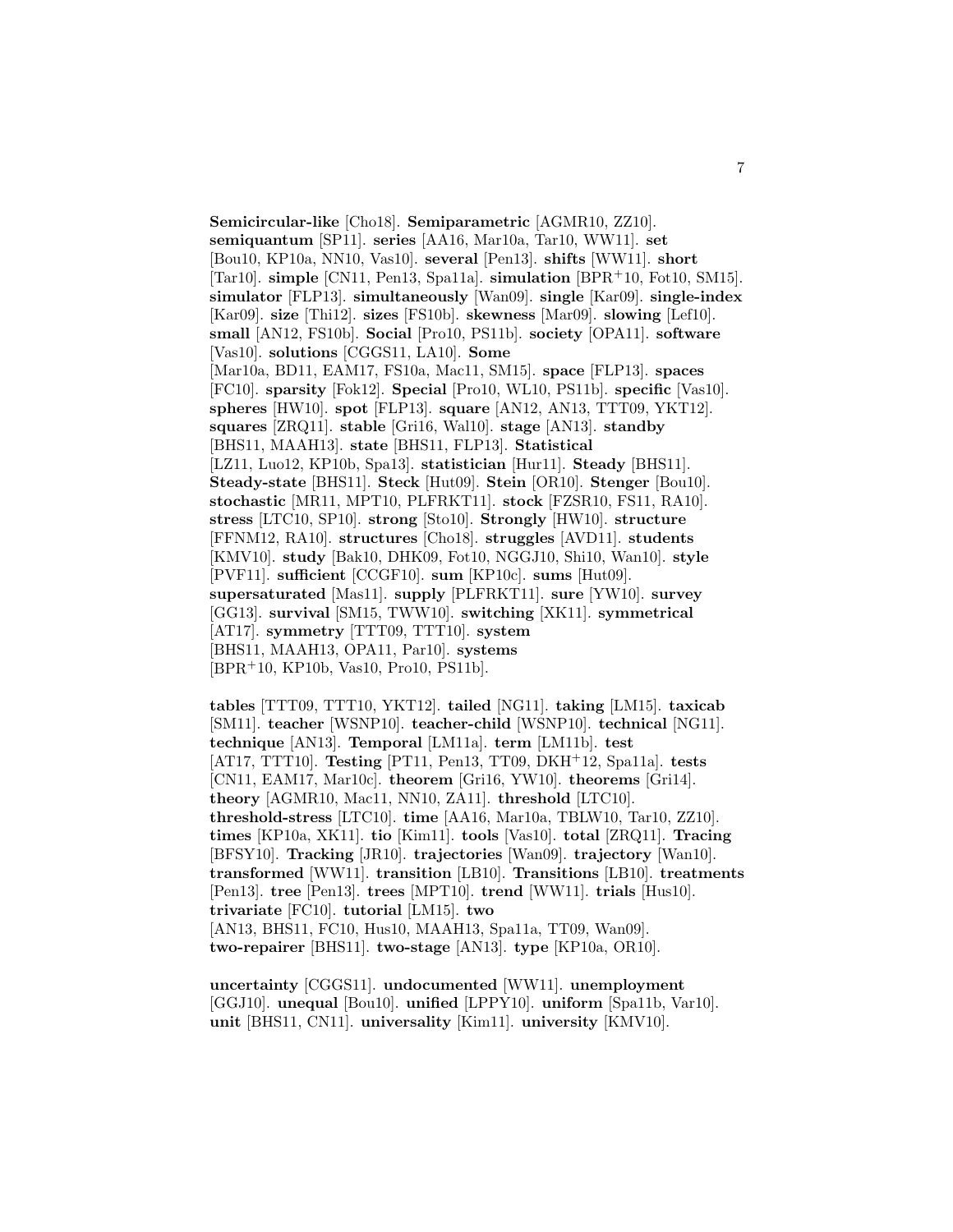**Semicircular-like** [Cho18]. **Semiparametric** [AGMR10, ZZ10]. **semiquantum** [SP11]. **series** [AA16, Mar10a, Tar10, WW11]. **set** [Bou10, KP10a, NN10, Vas10]. **several** [Pen13]. **shifts** [WW11]. **short** [Tar10]. **simple** [CN11, Pen13, Spa11a]. **simulation** [BPR<sup>+</sup>10, Fot10, SM15]. **simulator** [FLP13]. **simultaneously** [Wan09]. **single** [Kar09]. **single-index** [Kar09]. **size** [Thi12]. **sizes** [FS10b]. **skewness** [Mar09]. **slowing** [Lef10]. **small** [AN12, FS10b]. **Social** [Pro10, PS11b]. **society** [OPA11]. **software** [Vas10]. **solutions** [CGGS11, LA10]. **Some** [Mar10a, BD11, EAM17, FS10a, Mac11, SM15]. **space** [FLP13]. **spaces** [FC10]. **sparsity** [Fok12]. **Special** [Pro10, WL10, PS11b]. **specific** [Vas10]. **spheres** [HW10]. **spot** [FLP13]. **square** [AN12, AN13, TTT09, YKT12]. **squares** [ZRQ11]. **stable** [Gri16, Wal10]. **stage** [AN13]. **standby** [BHS11, MAAH13]. **state** [BHS11, FLP13]. **Statistical** [LZ11, Luo12, KP10b, Spa13]. **statistician** [Hur11]. **Steady** [BHS11]. **Steady-state** [BHS11]. **Steck** [Hut09]. **Stein** [OR10]. **Stenger** [Bou10]. **stochastic** [MR11, MPT10, PLFRKT11]. **stock** [FZSR10, FS11, RA10]. **stress** [LTC10, SP10]. **strong** [Sto10]. **Strongly** [HW10]. **structure** [FFNM12, RA10]. **structures** [Cho18]. **struggles** [AVD11]. **students** [KMV10]. **study** [Bak10, DHK09, Fot10, NGGJ10, Shi10, Wan10]. **style** [PVF11]. **sufficient** [CCGF10]. **sum** [KP10c]. **sums** [Hut09]. **supersaturated** [Mas11]. **supply** [PLFRKT11]. **sure** [YW10]. **survey** [GG13]. **survival** [SM15, TWW10]. **switching** [XK11]. **symmetrical** [AT17]. **symmetry** [TTT09, TTT10]. **system** [BHS11, MAAH13, OPA11, Par10]. **systems** [BPR<sup>+</sup>10, KP10b, Vas10, Pro10, PS11b].

**tables** [TTT09, TTT10, YKT12]. **tailed** [NG11]. **taking** [LM15]. **taxicab** [SM11]. **teacher** [WSNP10]. **teacher-child** [WSNP10]. **technical** [NG11]. **technique** [AN13]. **Temporal** [LM11a]. **term** [LM11b]. **test** [AT17, TTT10]. **Testing** [PT11, Pen13, TT09, DKH<sup>+</sup>12, Spa11a]. **tests** [CN11, EAM17, Mar10c]. **theorem** [Gri16, YW10]. **theorems** [Gri14]. **theory** [AGMR10, Mac11, NN10, ZA11]. **threshold** [LTC10]. **threshold-stress** [LTC10]. **time** [AA16, Mar10a, TBLW10, Tar10, ZZ10]. **times** [KP10a, XK11]. **tio** [Kim11]. **tools** [Vas10]. **total** [ZRQ11]. **Tracing** [BFSY10]. **Tracking** [JR10]. **trajectories** [Wan09]. **trajectory** [Wan10]. **transformed** [WW11]. **transition** [LB10]. **Transitions** [LB10]. **treatments** [Pen13]. **tree** [Pen13]. **trees** [MPT10]. **trend** [WW11]. **trials** [Hus10]. **trivariate** [FC10]. **tutorial** [LM15]. **two** [AN13, BHS11, FC10, Hus10, MAAH13, Spa11a, TT09, Wan09]. **two-repairer** [BHS11]. **two-stage** [AN13]. **type** [KP10a, OR10].

**uncertainty** [CGGS11]. **undocumented** [WW11]. **unemployment** [GGJ10]. **unequal** [Bou10]. **unified** [LPPY10]. **uniform** [Spa11b, Var10]. **unit** [BHS11, CN11]. **universality** [Kim11]. **university** [KMV10].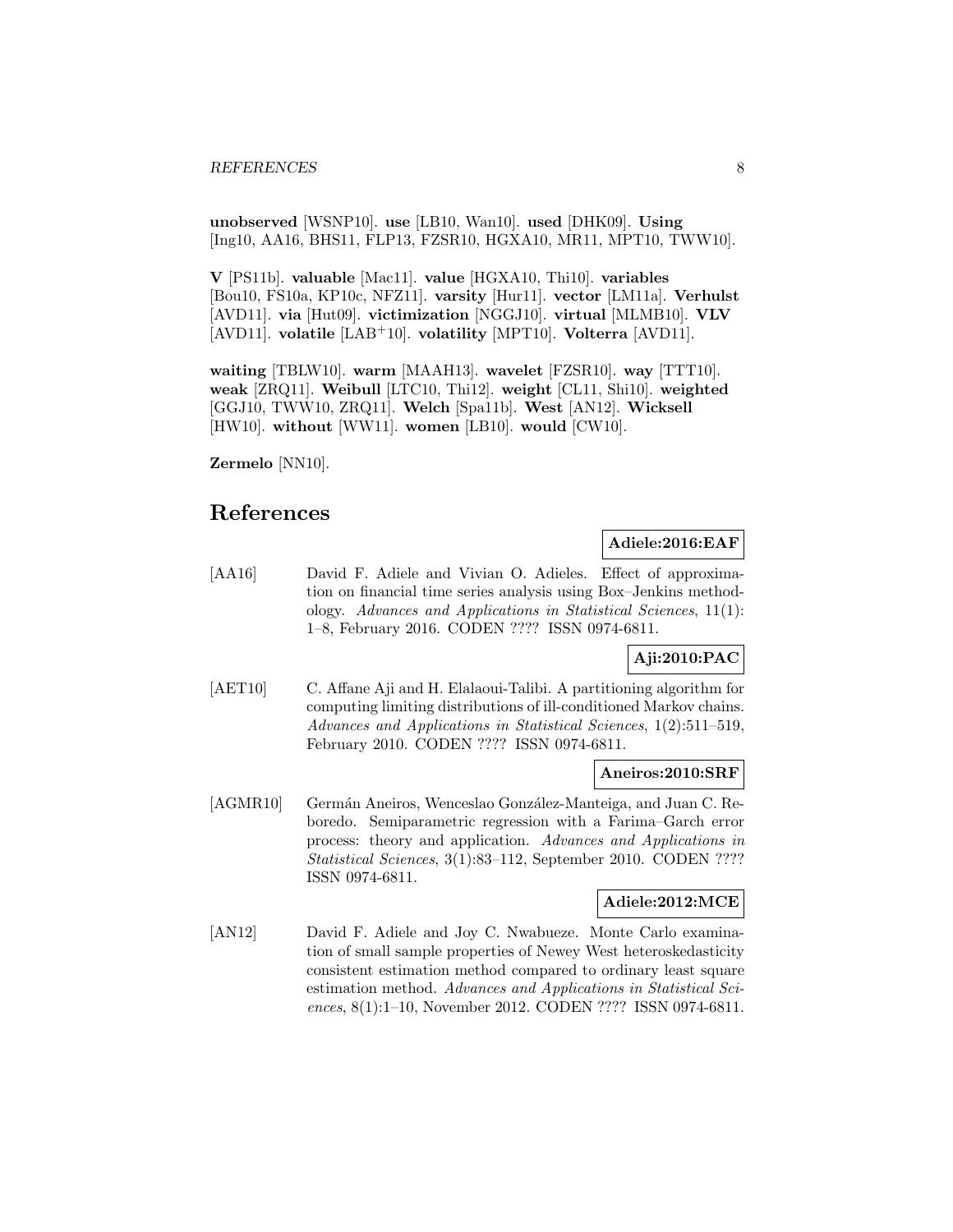**unobserved** [WSNP10]. **use** [LB10, Wan10]. **used** [DHK09]. **Using** [Ing10, AA16, BHS11, FLP13, FZSR10, HGXA10, MR11, MPT10, TWW10].

**V** [PS11b]. **valuable** [Mac11]. **value** [HGXA10, Thi10]. **variables** [Bou10, FS10a, KP10c, NFZ11]. **varsity** [Hur11]. **vector** [LM11a]. **Verhulst** [AVD11]. **via** [Hut09]. **victimization** [NGGJ10]. **virtual** [MLMB10]. **VLV** [AVD11]. **volatile** [LAB<sup>+</sup>10]. **volatility** [MPT10]. **Volterra** [AVD11].

**waiting** [TBLW10]. **warm** [MAAH13]. **wavelet** [FZSR10]. **way** [TTT10]. **weak** [ZRQ11]. **Weibull** [LTC10, Thi12]. **weight** [CL11, Shi10]. **weighted** [GGJ10, TWW10, ZRQ11]. **Welch** [Spa11b]. **West** [AN12]. **Wicksell** [HW10]. **without** [WW11]. **women** [LB10]. **would** [CW10].

**Zermelo** [NN10].

# **References**

# **Adiele:2016:EAF**

[AA16] David F. Adiele and Vivian O. Adieles. Effect of approximation on financial time series analysis using Box–Jenkins methodology. Advances and Applications in Statistical Sciences, 11(1): 1–8, February 2016. CODEN ???? ISSN 0974-6811.

# **Aji:2010:PAC**

[AET10] C. Affane Aji and H. Elalaoui-Talibi. A partitioning algorithm for computing limiting distributions of ill-conditioned Markov chains. Advances and Applications in Statistical Sciences, 1(2):511–519, February 2010. CODEN ???? ISSN 0974-6811.

### **Aneiros:2010:SRF**

[AGMR10] Germán Aneiros, Wenceslao González-Manteiga, and Juan C. Reboredo. Semiparametric regression with a Farima–Garch error process: theory and application. Advances and Applications in Statistical Sciences, 3(1):83–112, September 2010. CODEN ???? ISSN 0974-6811.

### **Adiele:2012:MCE**

[AN12] David F. Adiele and Joy C. Nwabueze. Monte Carlo examination of small sample properties of Newey West heteroskedasticity consistent estimation method compared to ordinary least square estimation method. Advances and Applications in Statistical Sciences, 8(1):1–10, November 2012. CODEN ???? ISSN 0974-6811.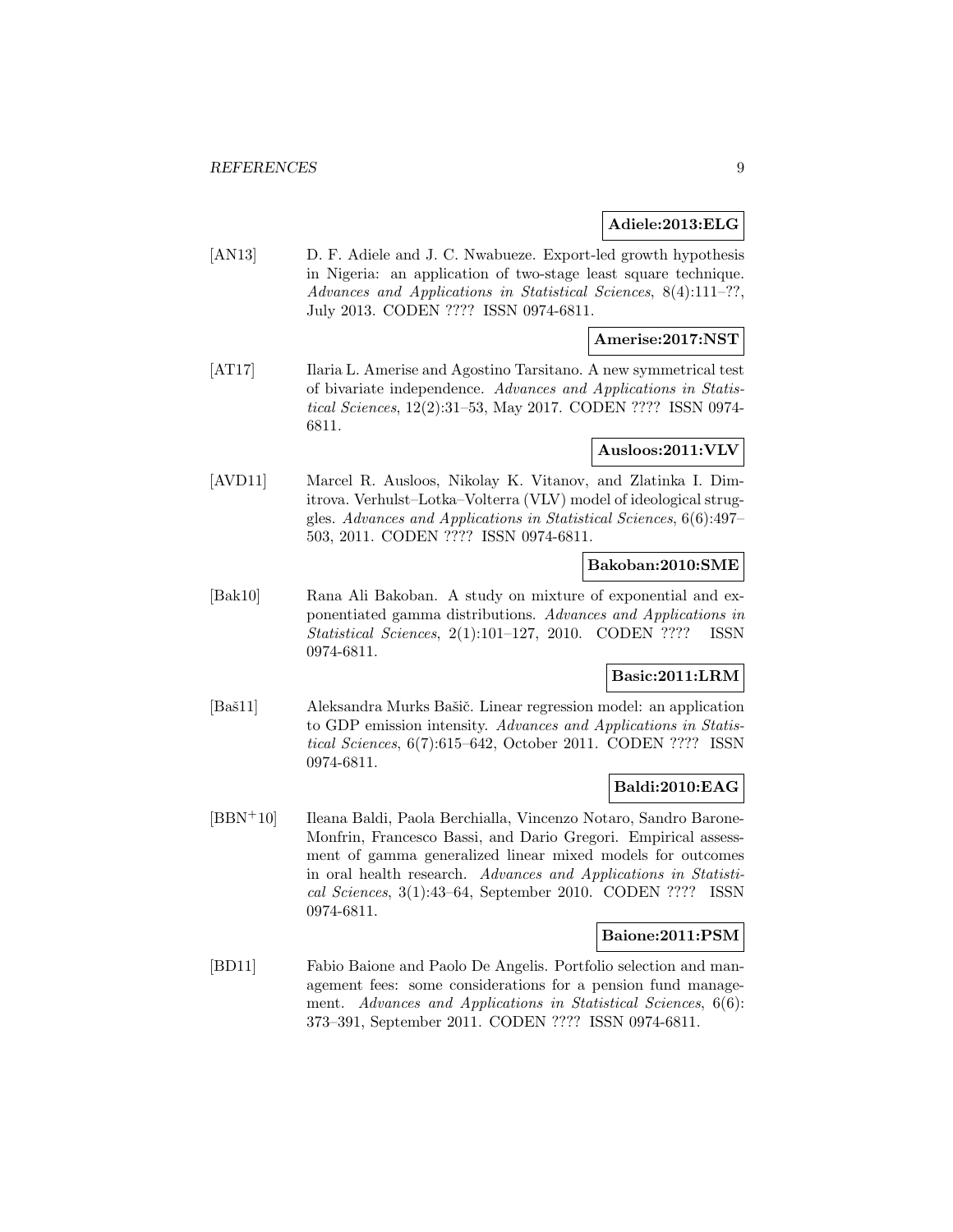### **Adiele:2013:ELG**

[AN13] D. F. Adiele and J. C. Nwabueze. Export-led growth hypothesis in Nigeria: an application of two-stage least square technique. Advances and Applications in Statistical Sciences, 8(4):111–??, July 2013. CODEN ???? ISSN 0974-6811.

# **Amerise:2017:NST**

[AT17] Ilaria L. Amerise and Agostino Tarsitano. A new symmetrical test of bivariate independence. Advances and Applications in Statistical Sciences, 12(2):31–53, May 2017. CODEN ???? ISSN 0974- 6811.

# **Ausloos:2011:VLV**

[AVD11] Marcel R. Ausloos, Nikolay K. Vitanov, and Zlatinka I. Dimitrova. Verhulst–Lotka–Volterra (VLV) model of ideological struggles. Advances and Applications in Statistical Sciences, 6(6):497– 503, 2011. CODEN ???? ISSN 0974-6811.

# **Bakoban:2010:SME**

[Bak10] Rana Ali Bakoban. A study on mixture of exponential and exponentiated gamma distributions. Advances and Applications in Statistical Sciences, 2(1):101–127, 2010. CODEN ???? ISSN 0974-6811.

# **Basic:2011:LRM**

[Baš11] Aleksandra Murks Bašič. Linear regression model: an application to GDP emission intensity. Advances and Applications in Statistical Sciences, 6(7):615–642, October 2011. CODEN ???? ISSN 0974-6811.

### **Baldi:2010:EAG**

[BBN<sup>+</sup>10] Ileana Baldi, Paola Berchialla, Vincenzo Notaro, Sandro Barone-Monfrin, Francesco Bassi, and Dario Gregori. Empirical assessment of gamma generalized linear mixed models for outcomes in oral health research. Advances and Applications in Statistical Sciences, 3(1):43–64, September 2010. CODEN ???? ISSN 0974-6811.

#### **Baione:2011:PSM**

[BD11] Fabio Baione and Paolo De Angelis. Portfolio selection and management fees: some considerations for a pension fund management. Advances and Applications in Statistical Sciences, 6(6): 373–391, September 2011. CODEN ???? ISSN 0974-6811.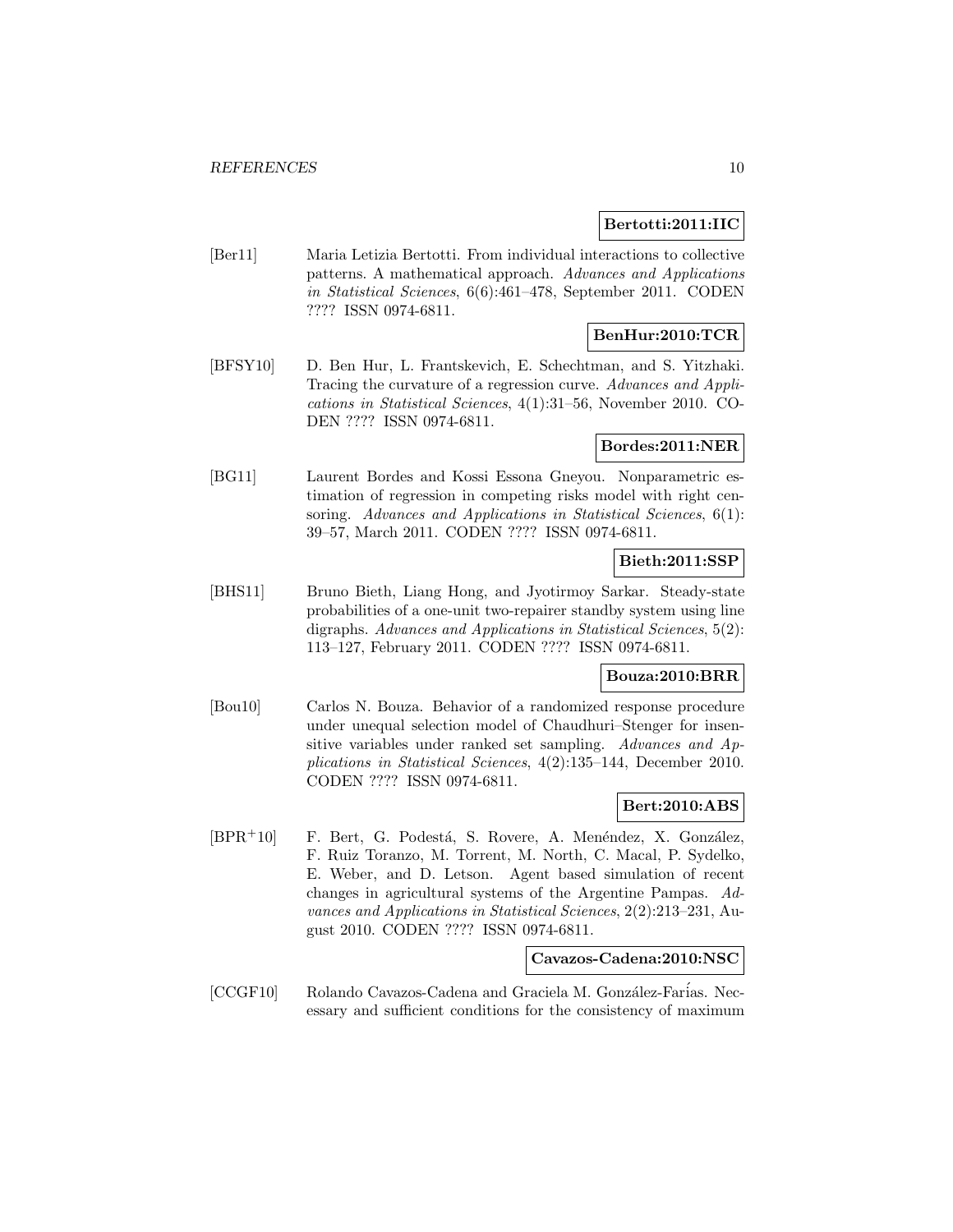### **Bertotti:2011:IIC**

[Ber11] Maria Letizia Bertotti. From individual interactions to collective patterns. A mathematical approach. Advances and Applications in Statistical Sciences, 6(6):461–478, September 2011. CODEN ???? ISSN 0974-6811.

# **BenHur:2010:TCR**

[BFSY10] D. Ben Hur, L. Frantskevich, E. Schechtman, and S. Yitzhaki. Tracing the curvature of a regression curve. Advances and Applications in Statistical Sciences, 4(1):31–56, November 2010. CO-DEN ???? ISSN 0974-6811.

# **Bordes:2011:NER**

[BG11] Laurent Bordes and Kossi Essona Gneyou. Nonparametric estimation of regression in competing risks model with right censoring. Advances and Applications in Statistical Sciences, 6(1): 39–57, March 2011. CODEN ???? ISSN 0974-6811.

#### **Bieth:2011:SSP**

[BHS11] Bruno Bieth, Liang Hong, and Jyotirmoy Sarkar. Steady-state probabilities of a one-unit two-repairer standby system using line digraphs. Advances and Applications in Statistical Sciences, 5(2): 113–127, February 2011. CODEN ???? ISSN 0974-6811.

### **Bouza:2010:BRR**

[Bou10] Carlos N. Bouza. Behavior of a randomized response procedure under unequal selection model of Chaudhuri–Stenger for insensitive variables under ranked set sampling. Advances and Applications in Statistical Sciences, 4(2):135–144, December 2010. CODEN ???? ISSN 0974-6811.

# **Bert:2010:ABS**

[BPR<sup>+</sup>10] F. Bert, G. Podestá, S. Rovere, A. Menéndez, X. González, F. Ruiz Toranzo, M. Torrent, M. North, C. Macal, P. Sydelko, E. Weber, and D. Letson. Agent based simulation of recent changes in agricultural systems of the Argentine Pampas. Advances and Applications in Statistical Sciences, 2(2):213–231, August 2010. CODEN ???? ISSN 0974-6811.

# **Cavazos-Cadena:2010:NSC**

[CCGF10] Rolando Cavazos-Cadena and Graciela M. González-Farias. Necessary and sufficient conditions for the consistency of maximum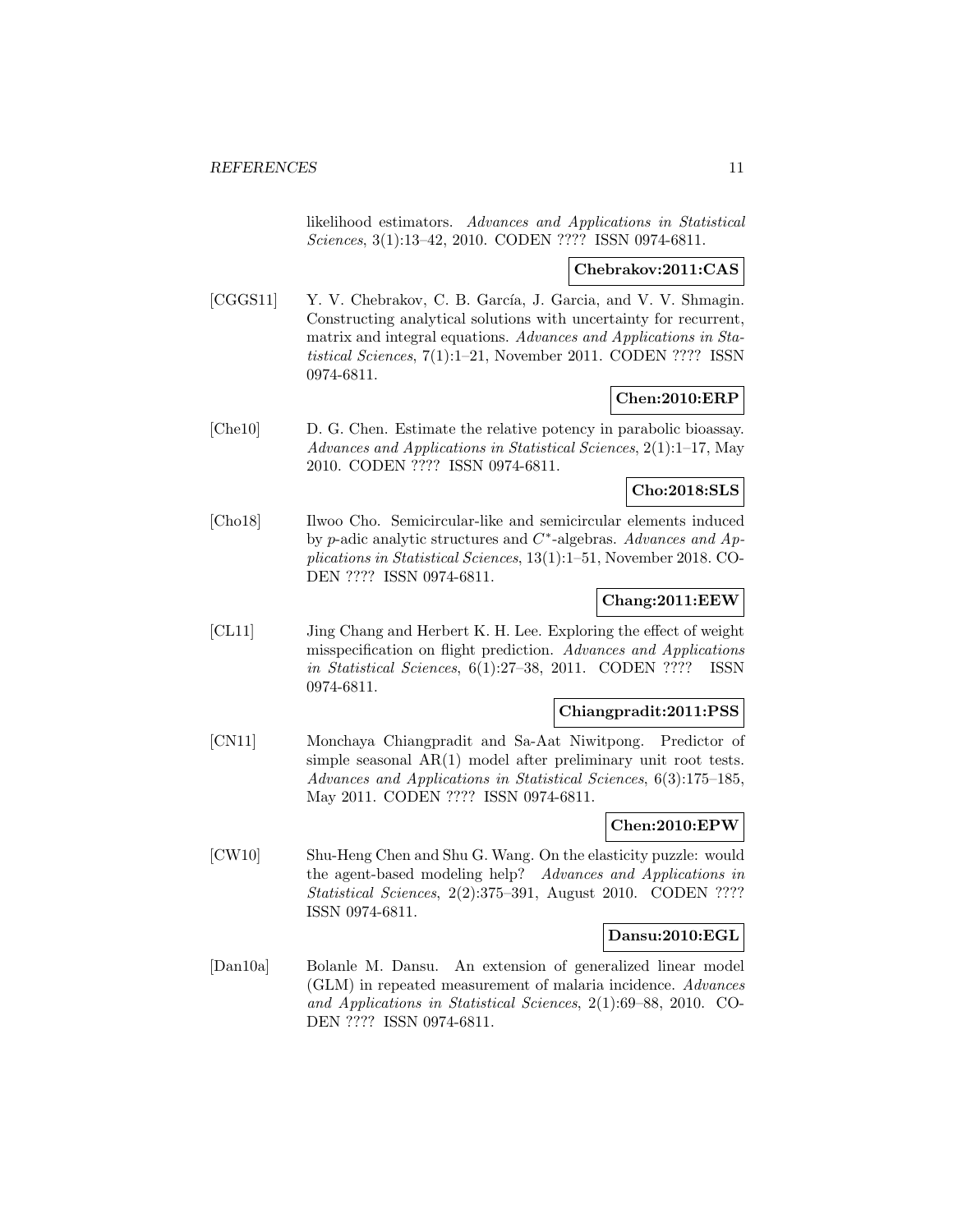likelihood estimators. Advances and Applications in Statistical Sciences, 3(1):13–42, 2010. CODEN ???? ISSN 0974-6811.

# **Chebrakov:2011:CAS**

[CGGS11] Y. V. Chebrakov, C. B. García, J. Garcia, and V. V. Shmagin. Constructing analytical solutions with uncertainty for recurrent, matrix and integral equations. Advances and Applications in Statistical Sciences, 7(1):1–21, November 2011. CODEN ???? ISSN 0974-6811.

# **Chen:2010:ERP**

[Che10] D. G. Chen. Estimate the relative potency in parabolic bioassay. Advances and Applications in Statistical Sciences, 2(1):1–17, May 2010. CODEN ???? ISSN 0974-6811.

# **Cho:2018:SLS**

[Cho18] Ilwoo Cho. Semicircular-like and semicircular elements induced by p-adic analytic structures and C∗-algebras. Advances and Applications in Statistical Sciences, 13(1):1–51, November 2018. CO-DEN ???? ISSN 0974-6811.

# **Chang:2011:EEW**

[CL11] Jing Chang and Herbert K. H. Lee. Exploring the effect of weight misspecification on flight prediction. Advances and Applications in Statistical Sciences, 6(1):27–38, 2011. CODEN ???? ISSN 0974-6811.

#### **Chiangpradit:2011:PSS**

[CN11] Monchaya Chiangpradit and Sa-Aat Niwitpong. Predictor of simple seasonal AR(1) model after preliminary unit root tests. Advances and Applications in Statistical Sciences, 6(3):175–185, May 2011. CODEN ???? ISSN 0974-6811.

# **Chen:2010:EPW**

[CW10] Shu-Heng Chen and Shu G. Wang. On the elasticity puzzle: would the agent-based modeling help? Advances and Applications in Statistical Sciences, 2(2):375-391, August 2010. CODEN ???? ISSN 0974-6811.

# **Dansu:2010:EGL**

[Dan10a] Bolanle M. Dansu. An extension of generalized linear model (GLM) in repeated measurement of malaria incidence. Advances and Applications in Statistical Sciences, 2(1):69–88, 2010. CO-DEN ???? ISSN 0974-6811.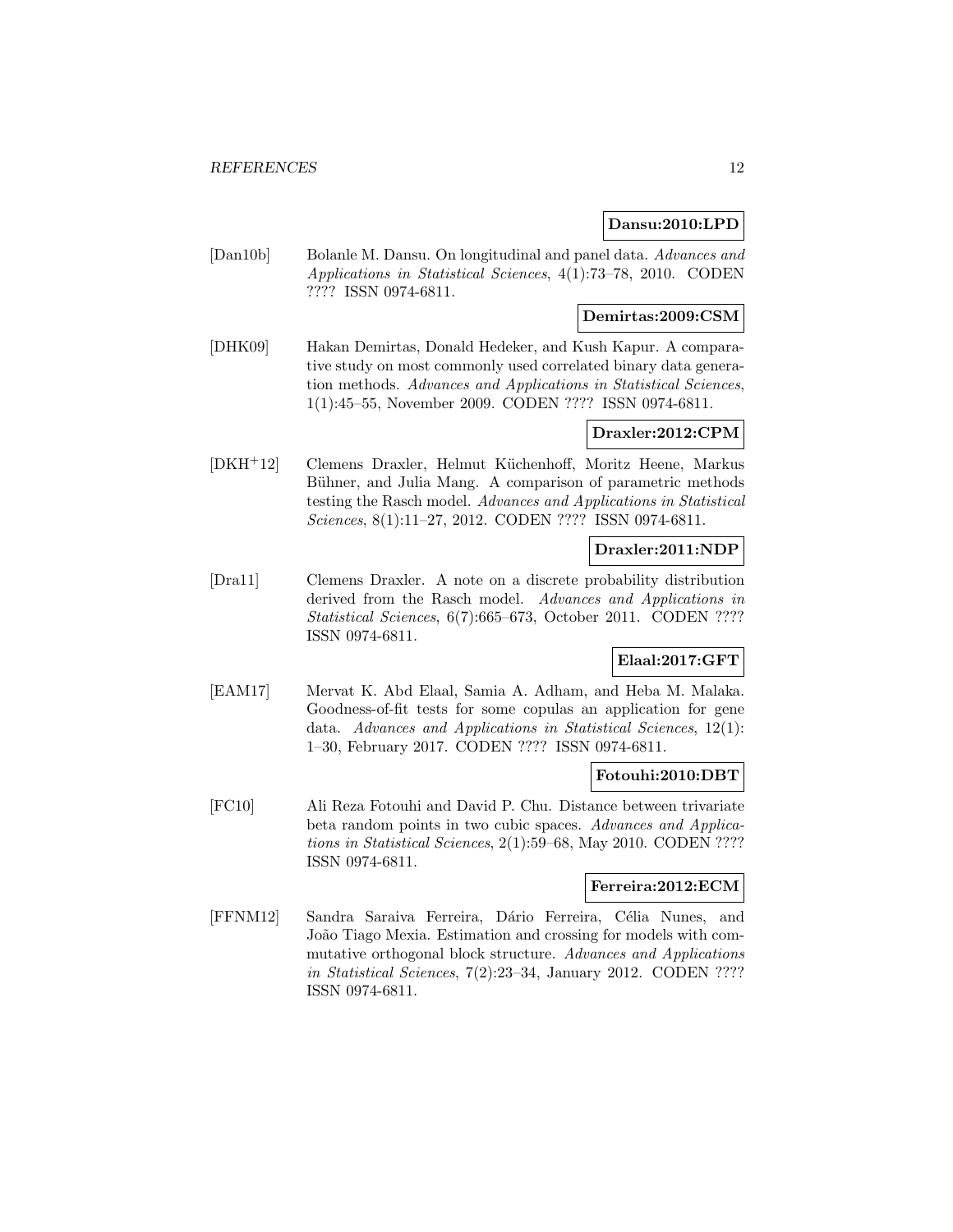# **Dansu:2010:LPD**

[Dan10b] Bolanle M. Dansu. On longitudinal and panel data. Advances and Applications in Statistical Sciences, 4(1):73–78, 2010. CODEN ???? ISSN 0974-6811.

# **Demirtas:2009:CSM**

[DHK09] Hakan Demirtas, Donald Hedeker, and Kush Kapur. A comparative study on most commonly used correlated binary data generation methods. Advances and Applications in Statistical Sciences, 1(1):45–55, November 2009. CODEN ???? ISSN 0974-6811.

# **Draxler:2012:CPM**

[DKH<sup>+</sup>12] Clemens Draxler, Helmut K¨uchenhoff, Moritz Heene, Markus Bühner, and Julia Mang. A comparison of parametric methods testing the Rasch model. Advances and Applications in Statistical Sciences, 8(1):11–27, 2012. CODEN ???? ISSN 0974-6811.

# **Draxler:2011:NDP**

[Dra11] Clemens Draxler. A note on a discrete probability distribution derived from the Rasch model. Advances and Applications in Statistical Sciences, 6(7):665–673, October 2011. CODEN ???? ISSN 0974-6811.

# **Elaal:2017:GFT**

[EAM17] Mervat K. Abd Elaal, Samia A. Adham, and Heba M. Malaka. Goodness-of-fit tests for some copulas an application for gene data. Advances and Applications in Statistical Sciences, 12(1): 1–30, February 2017. CODEN ???? ISSN 0974-6811.

### **Fotouhi:2010:DBT**

[FC10] Ali Reza Fotouhi and David P. Chu. Distance between trivariate beta random points in two cubic spaces. Advances and Applications in Statistical Sciences, 2(1):59–68, May 2010. CODEN ???? ISSN 0974-6811.

#### **Ferreira:2012:ECM**

[FFNM12] Sandra Saraiva Ferreira, Dário Ferreira, Célia Nunes, and João Tiago Mexia. Estimation and crossing for models with commutative orthogonal block structure. Advances and Applications in Statistical Sciences, 7(2):23–34, January 2012. CODEN ???? ISSN 0974-6811.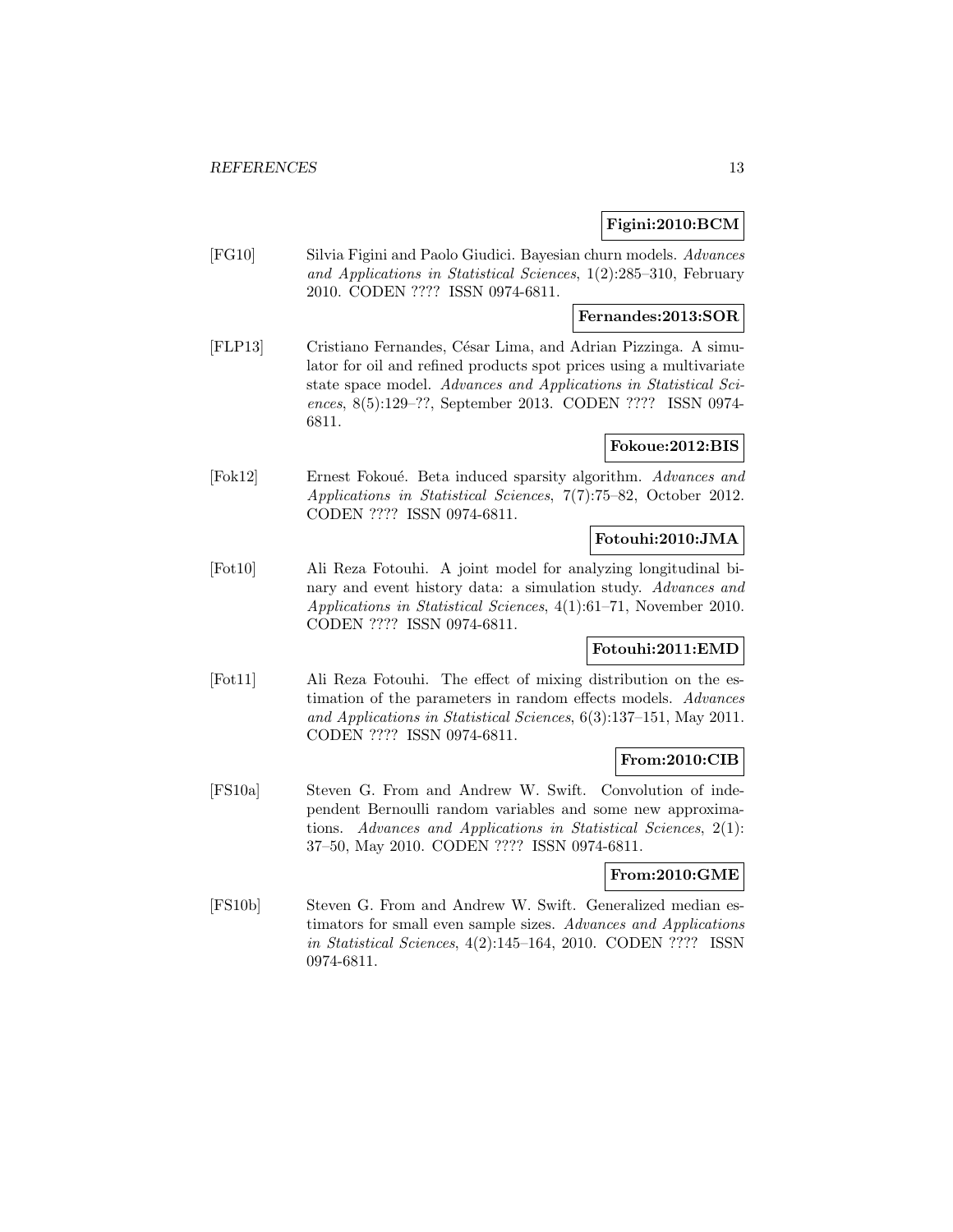# **Figini:2010:BCM**

[FG10] Silvia Figini and Paolo Giudici. Bayesian churn models. Advances and Applications in Statistical Sciences, 1(2):285–310, February 2010. CODEN ???? ISSN 0974-6811.

# **Fernandes:2013:SOR**

[FLP13] Cristiano Fernandes, César Lima, and Adrian Pizzinga. A simulator for oil and refined products spot prices using a multivariate state space model. Advances and Applications in Statistical Sciences, 8(5):129–??, September 2013. CODEN ???? ISSN 0974- 6811.

# **Fokoue:2012:BIS**

[Fok12] Ernest Fokoué. Beta induced sparsity algorithm. Advances and Applications in Statistical Sciences, 7(7):75–82, October 2012. CODEN ???? ISSN 0974-6811.

# **Fotouhi:2010:JMA**

[Fot10] Ali Reza Fotouhi. A joint model for analyzing longitudinal binary and event history data: a simulation study. Advances and Applications in Statistical Sciences, 4(1):61–71, November 2010. CODEN ???? ISSN 0974-6811.

# **Fotouhi:2011:EMD**

[Fot11] Ali Reza Fotouhi. The effect of mixing distribution on the estimation of the parameters in random effects models. Advances and Applications in Statistical Sciences, 6(3):137–151, May 2011. CODEN ???? ISSN 0974-6811.

### **From:2010:CIB**

[FS10a] Steven G. From and Andrew W. Swift. Convolution of independent Bernoulli random variables and some new approximations. Advances and Applications in Statistical Sciences, 2(1): 37–50, May 2010. CODEN ???? ISSN 0974-6811.

### **From:2010:GME**

[FS10b] Steven G. From and Andrew W. Swift. Generalized median estimators for small even sample sizes. Advances and Applications in Statistical Sciences, 4(2):145–164, 2010. CODEN ???? ISSN 0974-6811.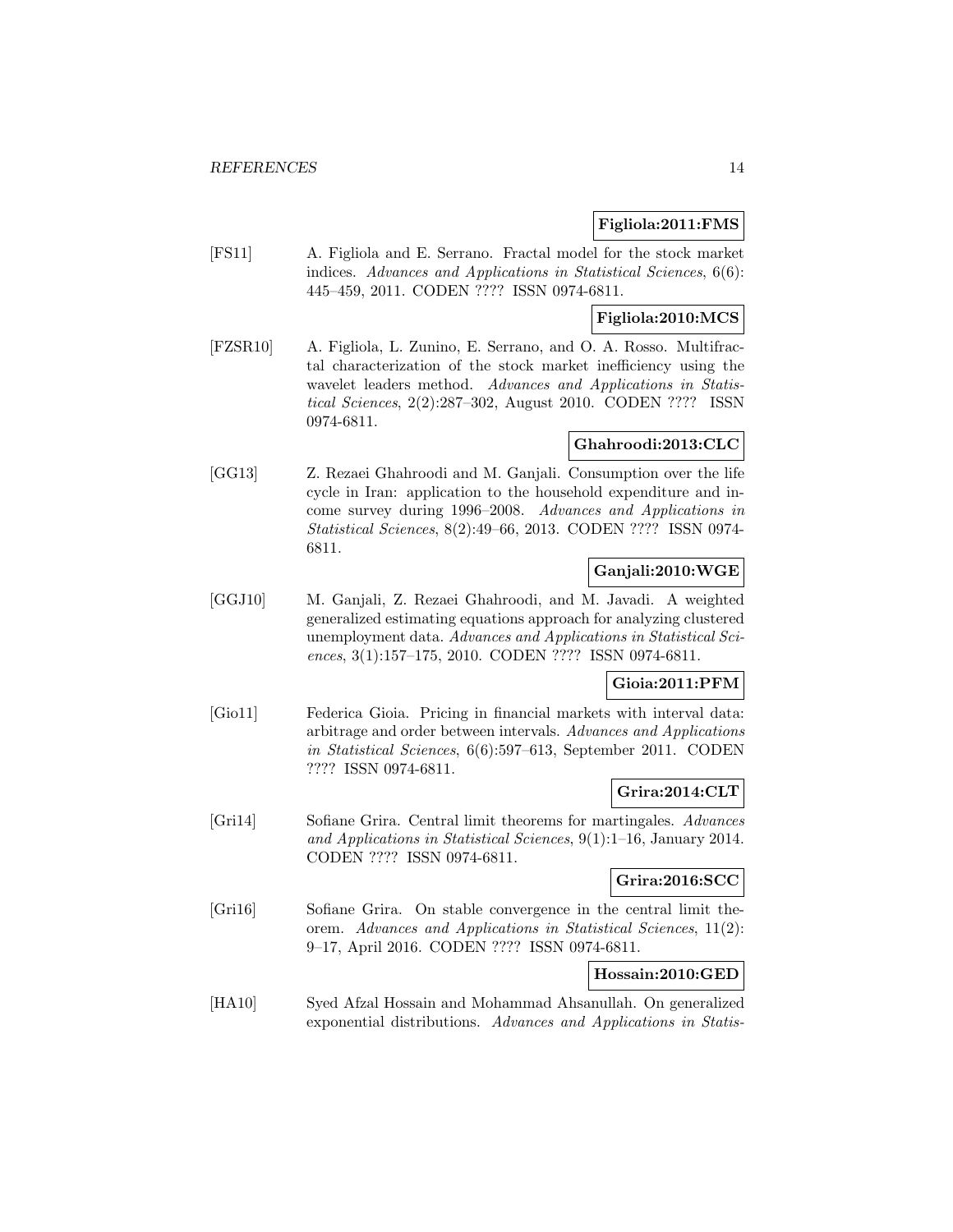### **Figliola:2011:FMS**

[FS11] A. Figliola and E. Serrano. Fractal model for the stock market indices. Advances and Applications in Statistical Sciences, 6(6): 445–459, 2011. CODEN ???? ISSN 0974-6811.

# **Figliola:2010:MCS**

[FZSR10] A. Figliola, L. Zunino, E. Serrano, and O. A. Rosso. Multifractal characterization of the stock market inefficiency using the wavelet leaders method. Advances and Applications in Statistical Sciences, 2(2):287–302, August 2010. CODEN ???? ISSN 0974-6811.

# **Ghahroodi:2013:CLC**

[GG13] Z. Rezaei Ghahroodi and M. Ganjali. Consumption over the life cycle in Iran: application to the household expenditure and income survey during 1996–2008. Advances and Applications in Statistical Sciences, 8(2):49–66, 2013. CODEN ???? ISSN 0974- 6811.

# **Ganjali:2010:WGE**

[GGJ10] M. Ganjali, Z. Rezaei Ghahroodi, and M. Javadi. A weighted generalized estimating equations approach for analyzing clustered unemployment data. Advances and Applications in Statistical Sciences, 3(1):157–175, 2010. CODEN ???? ISSN 0974-6811.

# **Gioia:2011:PFM**

[Gio11] Federica Gioia. Pricing in financial markets with interval data: arbitrage and order between intervals. Advances and Applications in Statistical Sciences, 6(6):597–613, September 2011. CODEN ???? ISSN 0974-6811.

# **Grira:2014:CLT**

[Gri14] Sofiane Grira. Central limit theorems for martingales. Advances and Applications in Statistical Sciences, 9(1):1–16, January 2014. CODEN ???? ISSN 0974-6811.

# **Grira:2016:SCC**

[Gri16] Sofiane Grira. On stable convergence in the central limit theorem. Advances and Applications in Statistical Sciences, 11(2): 9–17, April 2016. CODEN ???? ISSN 0974-6811.

# **Hossain:2010:GED**

[HA10] Syed Afzal Hossain and Mohammad Ahsanullah. On generalized exponential distributions. Advances and Applications in Statis-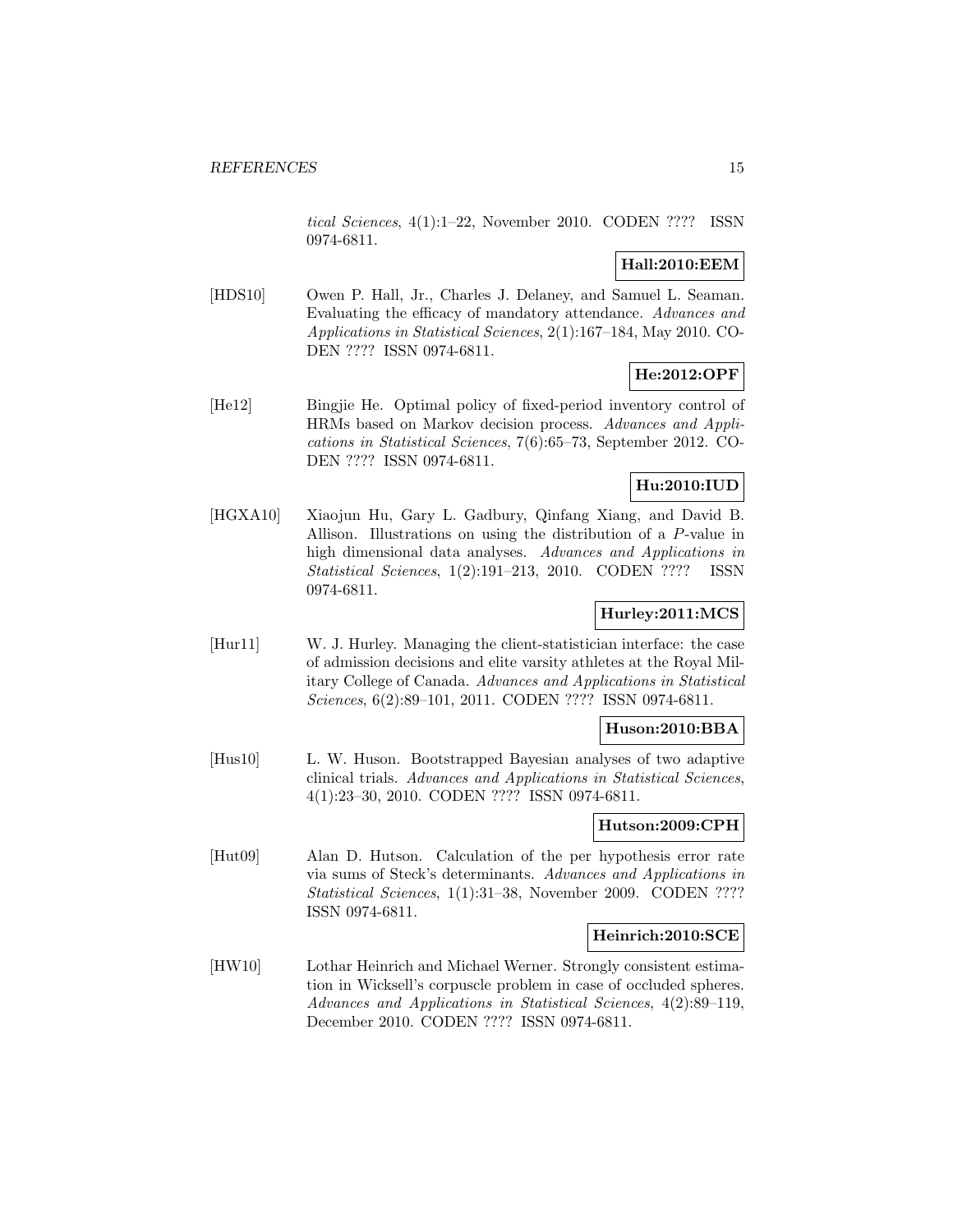tical Sciences, 4(1):1–22, November 2010. CODEN ???? ISSN 0974-6811.

# **Hall:2010:EEM**

[HDS10] Owen P. Hall, Jr., Charles J. Delaney, and Samuel L. Seaman. Evaluating the efficacy of mandatory attendance. Advances and Applications in Statistical Sciences, 2(1):167–184, May 2010. CO-DEN ???? ISSN 0974-6811.

# **He:2012:OPF**

[He12] Bingjie He. Optimal policy of fixed-period inventory control of HRMs based on Markov decision process. Advances and Applications in Statistical Sciences, 7(6):65–73, September 2012. CO-DEN ???? ISSN 0974-6811.

# **Hu:2010:IUD**

[HGXA10] Xiaojun Hu, Gary L. Gadbury, Qinfang Xiang, and David B. Allison. Illustrations on using the distribution of a P-value in high dimensional data analyses. Advances and Applications in Statistical Sciences, 1(2):191–213, 2010. CODEN ???? ISSN 0974-6811.

# **Hurley:2011:MCS**

[Hur11] W. J. Hurley. Managing the client-statistician interface: the case of admission decisions and elite varsity athletes at the Royal Military College of Canada. Advances and Applications in Statistical Sciences, 6(2):89–101, 2011. CODEN ???? ISSN 0974-6811.

# **Huson:2010:BBA**

[Hus10] L. W. Huson. Bootstrapped Bayesian analyses of two adaptive clinical trials. Advances and Applications in Statistical Sciences, 4(1):23–30, 2010. CODEN ???? ISSN 0974-6811.

# **Hutson:2009:CPH**

[Hut09] Alan D. Hutson. Calculation of the per hypothesis error rate via sums of Steck's determinants. Advances and Applications in Statistical Sciences, 1(1):31-38, November 2009. CODEN ???? ISSN 0974-6811.

### **Heinrich:2010:SCE**

[HW10] Lothar Heinrich and Michael Werner. Strongly consistent estimation in Wicksell's corpuscle problem in case of occluded spheres. Advances and Applications in Statistical Sciences, 4(2):89–119, December 2010. CODEN ???? ISSN 0974-6811.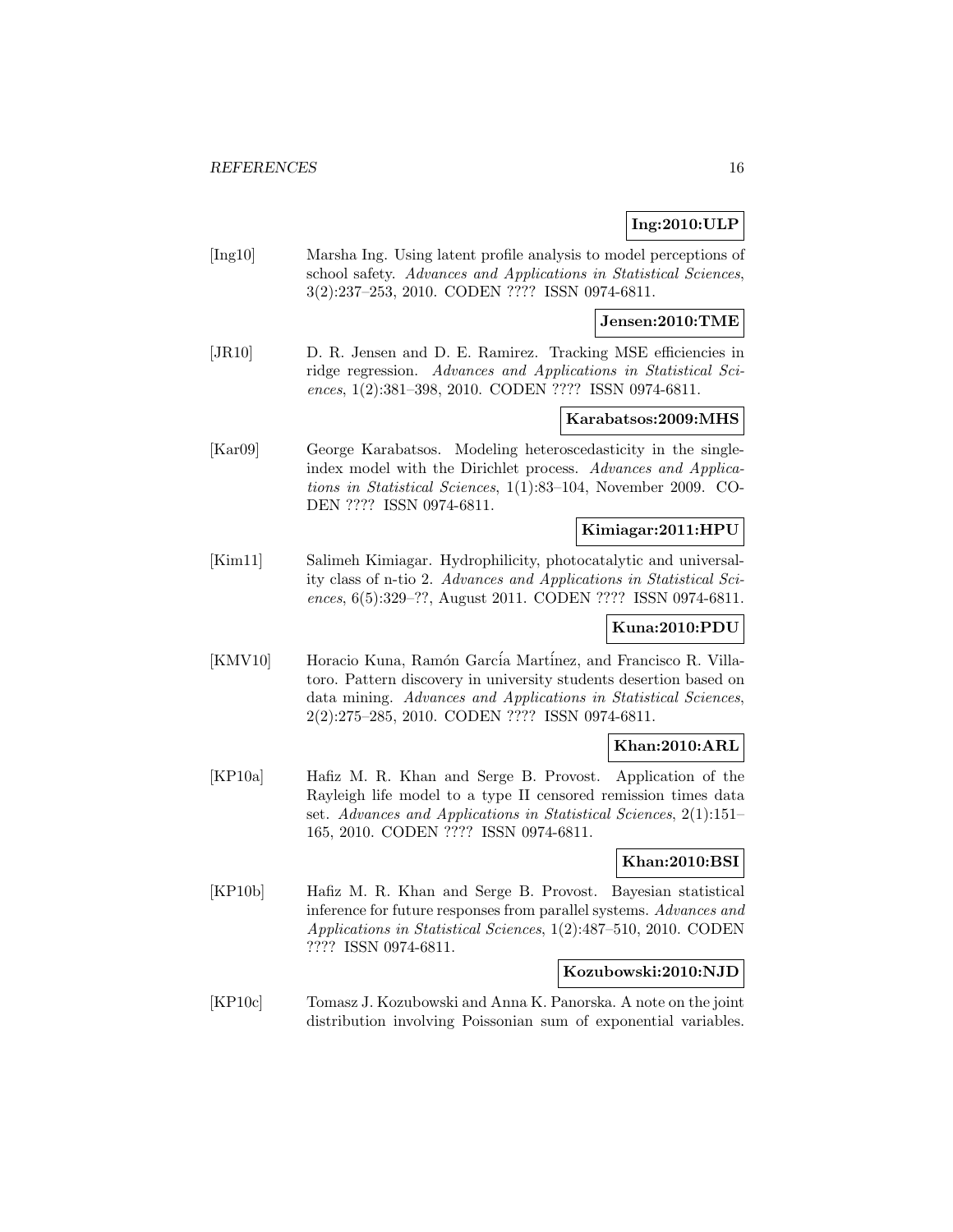# **Ing:2010:ULP**

[Ing10] Marsha Ing. Using latent profile analysis to model perceptions of school safety. Advances and Applications in Statistical Sciences, 3(2):237–253, 2010. CODEN ???? ISSN 0974-6811.

#### **Jensen:2010:TME**

[JR10] D. R. Jensen and D. E. Ramirez. Tracking MSE efficiencies in ridge regression. Advances and Applications in Statistical Sciences, 1(2):381–398, 2010. CODEN ???? ISSN 0974-6811.

# **Karabatsos:2009:MHS**

[Kar09] George Karabatsos. Modeling heteroscedasticity in the singleindex model with the Dirichlet process. Advances and Applications in Statistical Sciences, 1(1):83–104, November 2009. CO-DEN ???? ISSN 0974-6811.

### **Kimiagar:2011:HPU**

[Kim11] Salimeh Kimiagar. Hydrophilicity, photocatalytic and universality class of n-tio 2. Advances and Applications in Statistical Sciences, 6(5):329–??, August 2011. CODEN ???? ISSN 0974-6811.

### **Kuna:2010:PDU**

[KMV10] Horacio Kuna, Ramón García Martínez, and Francisco R. Villatoro. Pattern discovery in university students desertion based on data mining. Advances and Applications in Statistical Sciences, 2(2):275–285, 2010. CODEN ???? ISSN 0974-6811.

# **Khan:2010:ARL**

[KP10a] Hafiz M. R. Khan and Serge B. Provost. Application of the Rayleigh life model to a type II censored remission times data set. Advances and Applications in Statistical Sciences, 2(1):151– 165, 2010. CODEN ???? ISSN 0974-6811.

# **Khan:2010:BSI**

[KP10b] Hafiz M. R. Khan and Serge B. Provost. Bayesian statistical inference for future responses from parallel systems. Advances and Applications in Statistical Sciences, 1(2):487–510, 2010. CODEN ???? ISSN 0974-6811.

#### **Kozubowski:2010:NJD**

[KP10c] Tomasz J. Kozubowski and Anna K. Panorska. A note on the joint distribution involving Poissonian sum of exponential variables.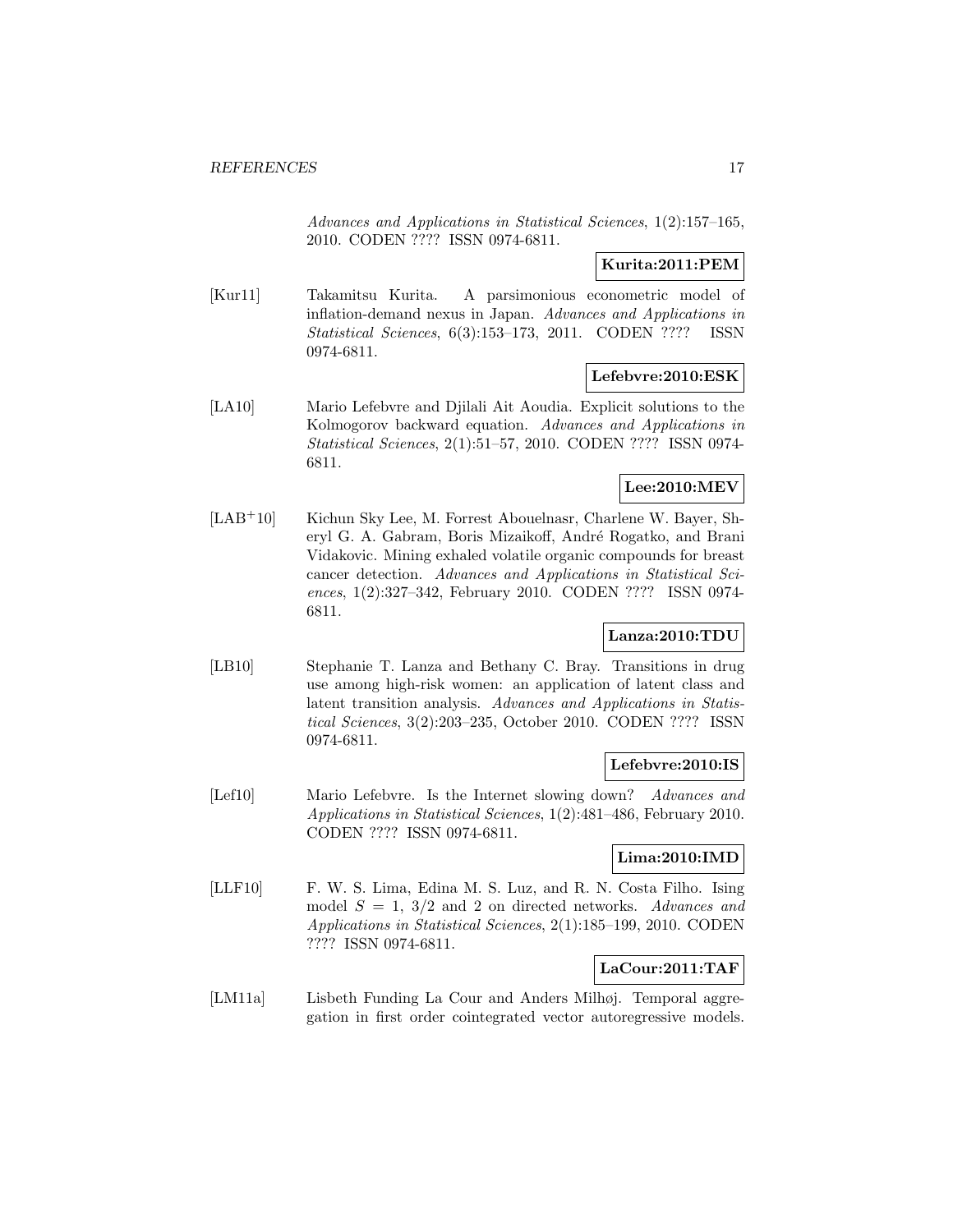Advances and Applications in Statistical Sciences, 1(2):157–165, 2010. CODEN ???? ISSN 0974-6811.

# **Kurita:2011:PEM**

[Kur11] Takamitsu Kurita. A parsimonious econometric model of inflation-demand nexus in Japan. Advances and Applications in Statistical Sciences, 6(3):153–173, 2011. CODEN ???? ISSN 0974-6811.

# **Lefebvre:2010:ESK**

[LA10] Mario Lefebvre and Djilali Ait Aoudia. Explicit solutions to the Kolmogorov backward equation. Advances and Applications in Statistical Sciences, 2(1):51–57, 2010. CODEN ???? ISSN 0974- 6811.

# **Lee:2010:MEV**

[LAB<sup>+</sup>10] Kichun Sky Lee, M. Forrest Abouelnasr, Charlene W. Bayer, Sheryl G. A. Gabram, Boris Mizaikoff, André Rogatko, and Brani Vidakovic. Mining exhaled volatile organic compounds for breast cancer detection. Advances and Applications in Statistical Sciences, 1(2):327–342, February 2010. CODEN ???? ISSN 0974- 6811.

# **Lanza:2010:TDU**

[LB10] Stephanie T. Lanza and Bethany C. Bray. Transitions in drug use among high-risk women: an application of latent class and latent transition analysis. Advances and Applications in Statistical Sciences, 3(2):203–235, October 2010. CODEN ???? ISSN 0974-6811.

### **Lefebvre:2010:IS**

[Lef10] Mario Lefebvre. Is the Internet slowing down? Advances and Applications in Statistical Sciences, 1(2):481–486, February 2010. CODEN ???? ISSN 0974-6811.

# **Lima:2010:IMD**

[LLF10] F. W. S. Lima, Edina M. S. Luz, and R. N. Costa Filho. Ising model  $S = 1, 3/2$  and 2 on directed networks. Advances and Applications in Statistical Sciences, 2(1):185–199, 2010. CODEN ???? ISSN 0974-6811.

### **LaCour:2011:TAF**

[LM11a] Lisbeth Funding La Cour and Anders Milhøj. Temporal aggregation in first order cointegrated vector autoregressive models.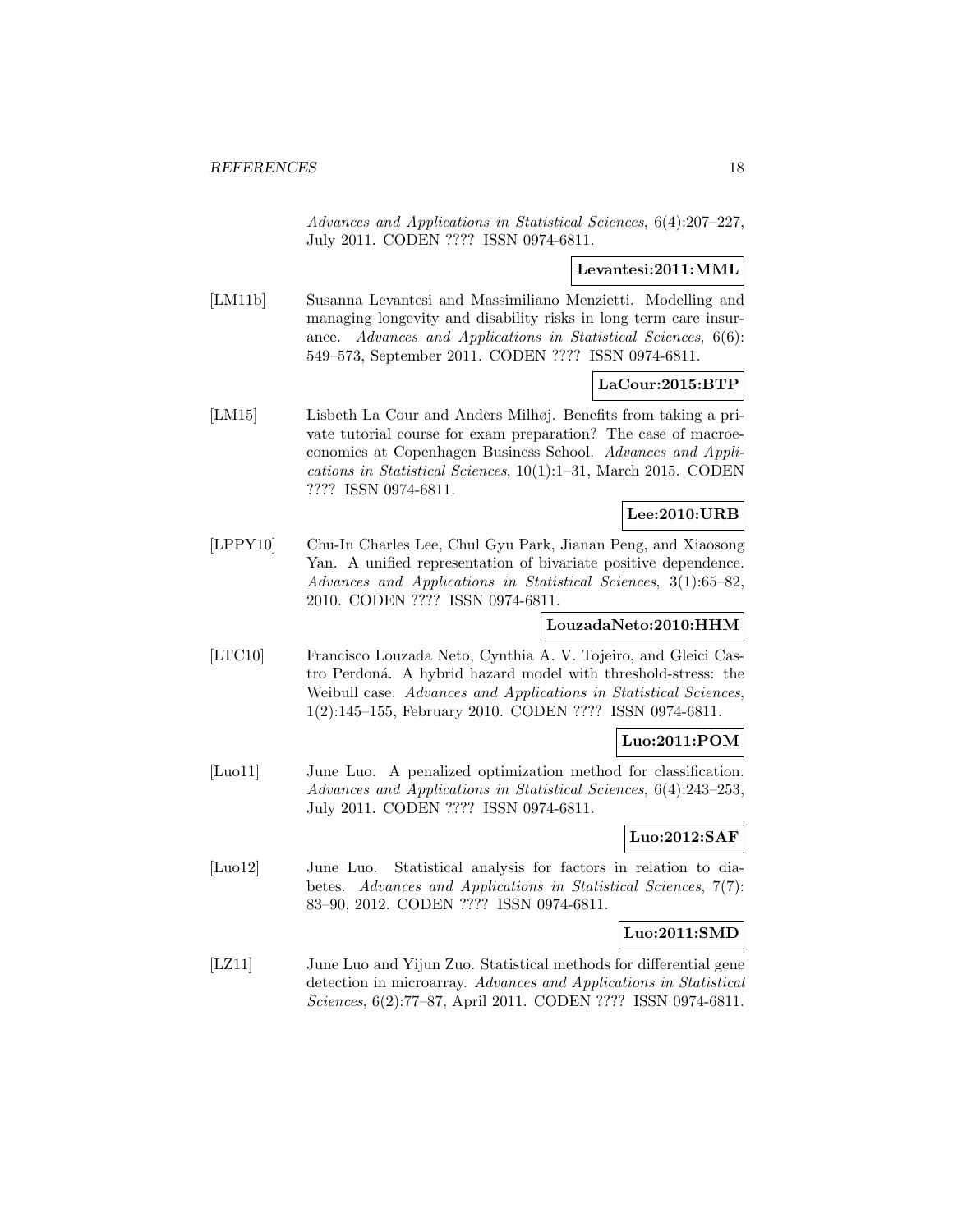Advances and Applications in Statistical Sciences, 6(4):207–227, July 2011. CODEN ???? ISSN 0974-6811.

### **Levantesi:2011:MML**

[LM11b] Susanna Levantesi and Massimiliano Menzietti. Modelling and managing longevity and disability risks in long term care insurance. Advances and Applications in Statistical Sciences, 6(6): 549–573, September 2011. CODEN ???? ISSN 0974-6811.

### **LaCour:2015:BTP**

[LM15] Lisbeth La Cour and Anders Milhøj. Benefits from taking a private tutorial course for exam preparation? The case of macroeconomics at Copenhagen Business School. Advances and Applications in Statistical Sciences, 10(1):1–31, March 2015. CODEN ???? ISSN 0974-6811.

# **Lee:2010:URB**

[LPPY10] Chu-In Charles Lee, Chul Gyu Park, Jianan Peng, and Xiaosong Yan. A unified representation of bivariate positive dependence. Advances and Applications in Statistical Sciences, 3(1):65–82, 2010. CODEN ???? ISSN 0974-6811.

### **LouzadaNeto:2010:HHM**

[LTC10] Francisco Louzada Neto, Cynthia A. V. Tojeiro, and Gleici Castro Perdoná. A hybrid hazard model with threshold-stress: the Weibull case. Advances and Applications in Statistical Sciences, 1(2):145–155, February 2010. CODEN ???? ISSN 0974-6811.

### **Luo:2011:POM**

[Luo11] June Luo. A penalized optimization method for classification. Advances and Applications in Statistical Sciences, 6(4):243–253, July 2011. CODEN ???? ISSN 0974-6811.

# **Luo:2012:SAF**

[Luo12] June Luo. Statistical analysis for factors in relation to diabetes. Advances and Applications in Statistical Sciences, 7(7): 83–90, 2012. CODEN ???? ISSN 0974-6811.

### **Luo:2011:SMD**

[LZ11] June Luo and Yijun Zuo. Statistical methods for differential gene detection in microarray. Advances and Applications in Statistical Sciences, 6(2):77–87, April 2011. CODEN ???? ISSN 0974-6811.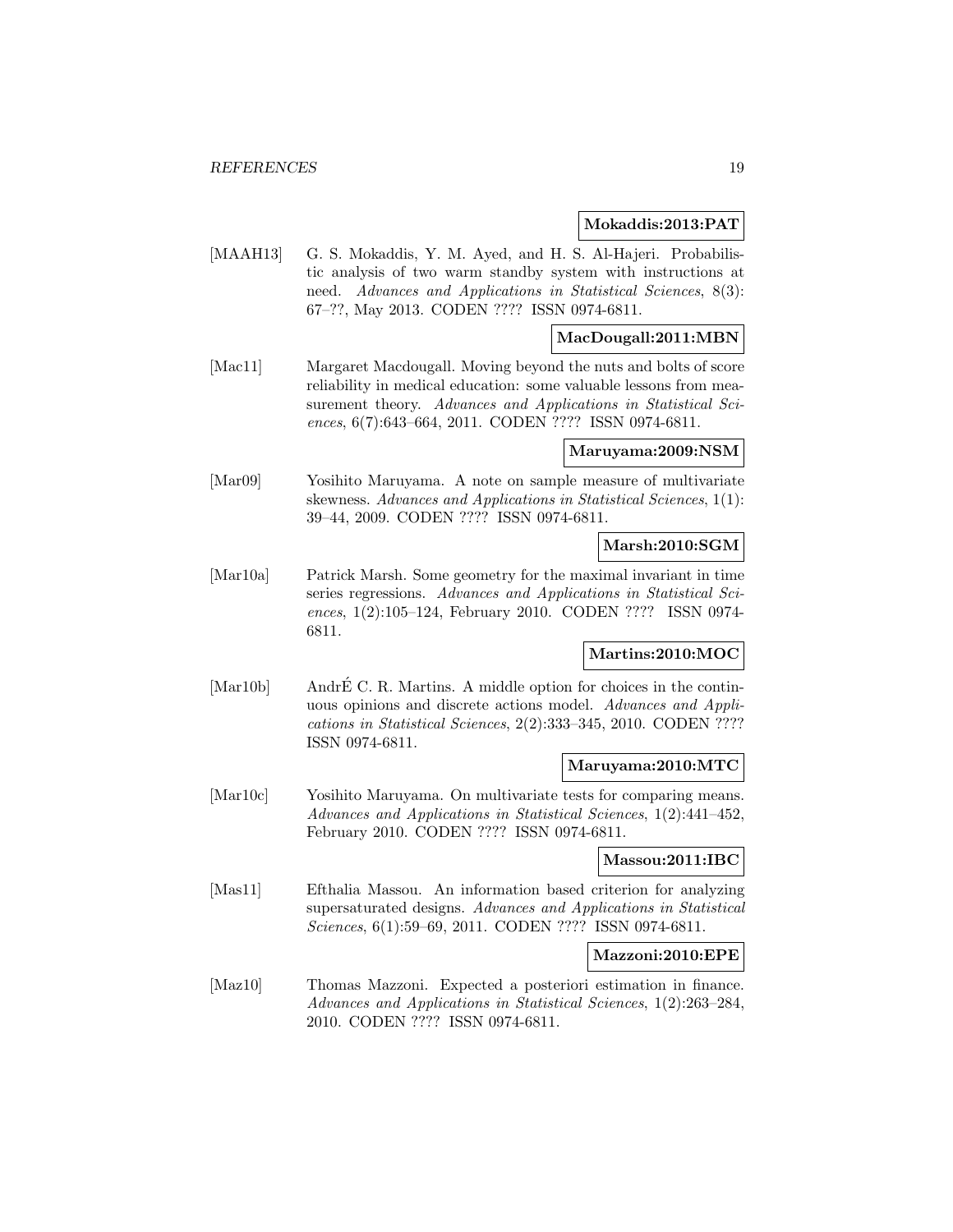#### **Mokaddis:2013:PAT**

[MAAH13] G. S. Mokaddis, Y. M. Ayed, and H. S. Al-Hajeri. Probabilistic analysis of two warm standby system with instructions at need. Advances and Applications in Statistical Sciences, 8(3): 67–??, May 2013. CODEN ???? ISSN 0974-6811.

# **MacDougall:2011:MBN**

[Mac11] Margaret Macdougall. Moving beyond the nuts and bolts of score reliability in medical education: some valuable lessons from measurement theory. Advances and Applications in Statistical Sciences, 6(7):643–664, 2011. CODEN ???? ISSN 0974-6811.

#### **Maruyama:2009:NSM**

[Mar09] Yosihito Maruyama. A note on sample measure of multivariate skewness. Advances and Applications in Statistical Sciences, 1(1): 39–44, 2009. CODEN ???? ISSN 0974-6811.

# **Marsh:2010:SGM**

[Mar10a] Patrick Marsh. Some geometry for the maximal invariant in time series regressions. Advances and Applications in Statistical Sciences, 1(2):105–124, February 2010. CODEN ???? ISSN 0974- 6811.

# **Martins:2010:MOC**

[Mar10b] AndrE C. R. Martins. A middle option for choices in the continuous opinions and discrete actions model. Advances and Applications in Statistical Sciences, 2(2):333–345, 2010. CODEN ???? ISSN 0974-6811.

### **Maruyama:2010:MTC**

[Mar10c] Yosihito Maruyama. On multivariate tests for comparing means. Advances and Applications in Statistical Sciences, 1(2):441–452, February 2010. CODEN ???? ISSN 0974-6811.

#### **Massou:2011:IBC**

[Mas11] Efthalia Massou. An information based criterion for analyzing supersaturated designs. Advances and Applications in Statistical Sciences, 6(1):59–69, 2011. CODEN ???? ISSN 0974-6811.

#### **Mazzoni:2010:EPE**

[Maz10] Thomas Mazzoni. Expected a posteriori estimation in finance. Advances and Applications in Statistical Sciences, 1(2):263–284, 2010. CODEN ???? ISSN 0974-6811.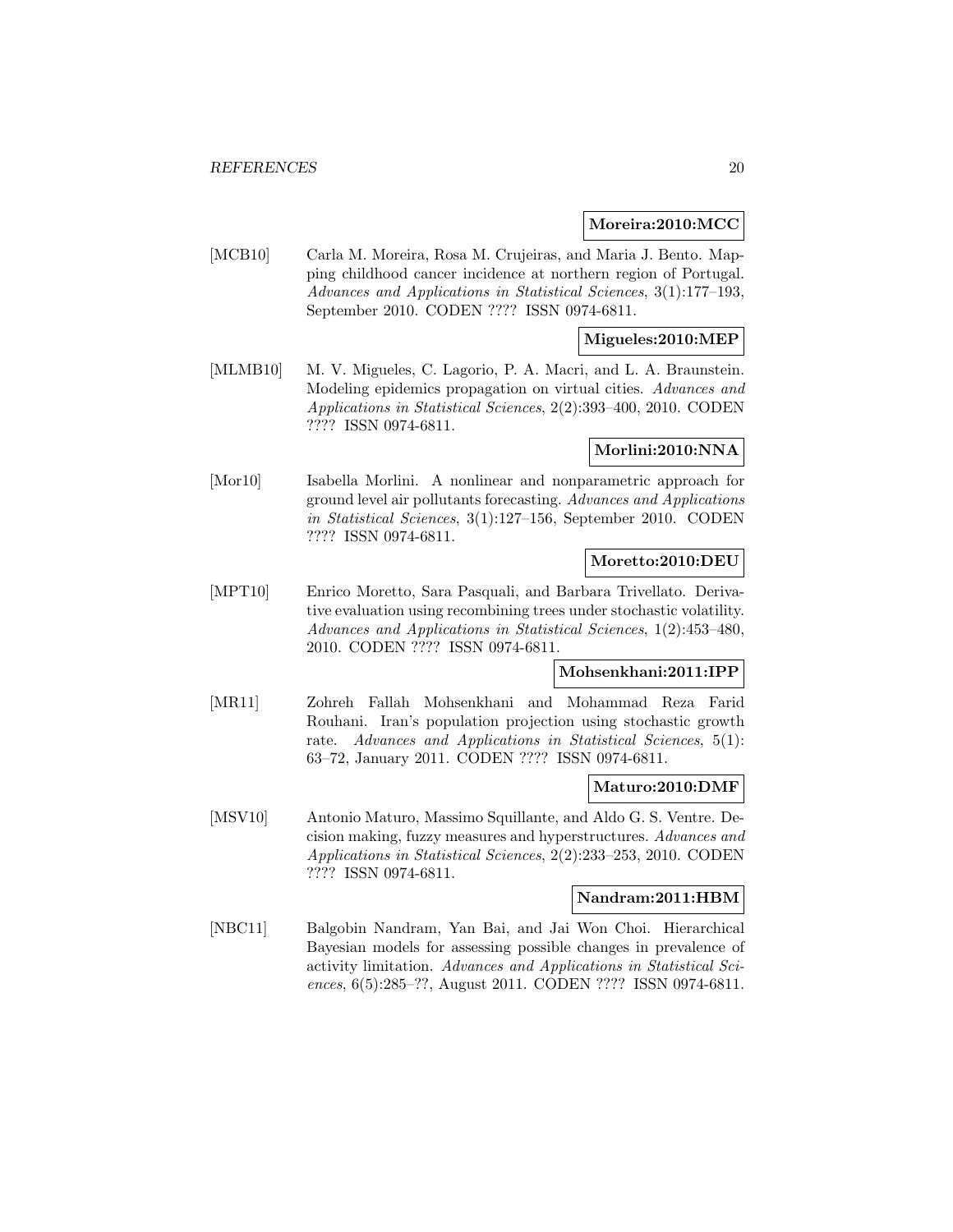### **Moreira:2010:MCC**

[MCB10] Carla M. Moreira, Rosa M. Crujeiras, and Maria J. Bento. Mapping childhood cancer incidence at northern region of Portugal. Advances and Applications in Statistical Sciences, 3(1):177–193, September 2010. CODEN ???? ISSN 0974-6811.

### **Migueles:2010:MEP**

[MLMB10] M. V. Migueles, C. Lagorio, P. A. Macri, and L. A. Braunstein. Modeling epidemics propagation on virtual cities. Advances and Applications in Statistical Sciences, 2(2):393–400, 2010. CODEN ???? ISSN 0974-6811.

# **Morlini:2010:NNA**

[Mor10] Isabella Morlini. A nonlinear and nonparametric approach for ground level air pollutants forecasting. Advances and Applications in Statistical Sciences, 3(1):127–156, September 2010. CODEN ???? ISSN 0974-6811.

### **Moretto:2010:DEU**

[MPT10] Enrico Moretto, Sara Pasquali, and Barbara Trivellato. Derivative evaluation using recombining trees under stochastic volatility. Advances and Applications in Statistical Sciences, 1(2):453–480, 2010. CODEN ???? ISSN 0974-6811.

# **Mohsenkhani:2011:IPP**

[MR11] Zohreh Fallah Mohsenkhani and Mohammad Reza Farid Rouhani. Iran's population projection using stochastic growth rate. Advances and Applications in Statistical Sciences, 5(1): 63–72, January 2011. CODEN ???? ISSN 0974-6811.

# **Maturo:2010:DMF**

[MSV10] Antonio Maturo, Massimo Squillante, and Aldo G. S. Ventre. Decision making, fuzzy measures and hyperstructures. Advances and Applications in Statistical Sciences, 2(2):233–253, 2010. CODEN ???? ISSN 0974-6811.

# **Nandram:2011:HBM**

[NBC11] Balgobin Nandram, Yan Bai, and Jai Won Choi. Hierarchical Bayesian models for assessing possible changes in prevalence of activity limitation. Advances and Applications in Statistical Sciences, 6(5):285–??, August 2011. CODEN ???? ISSN 0974-6811.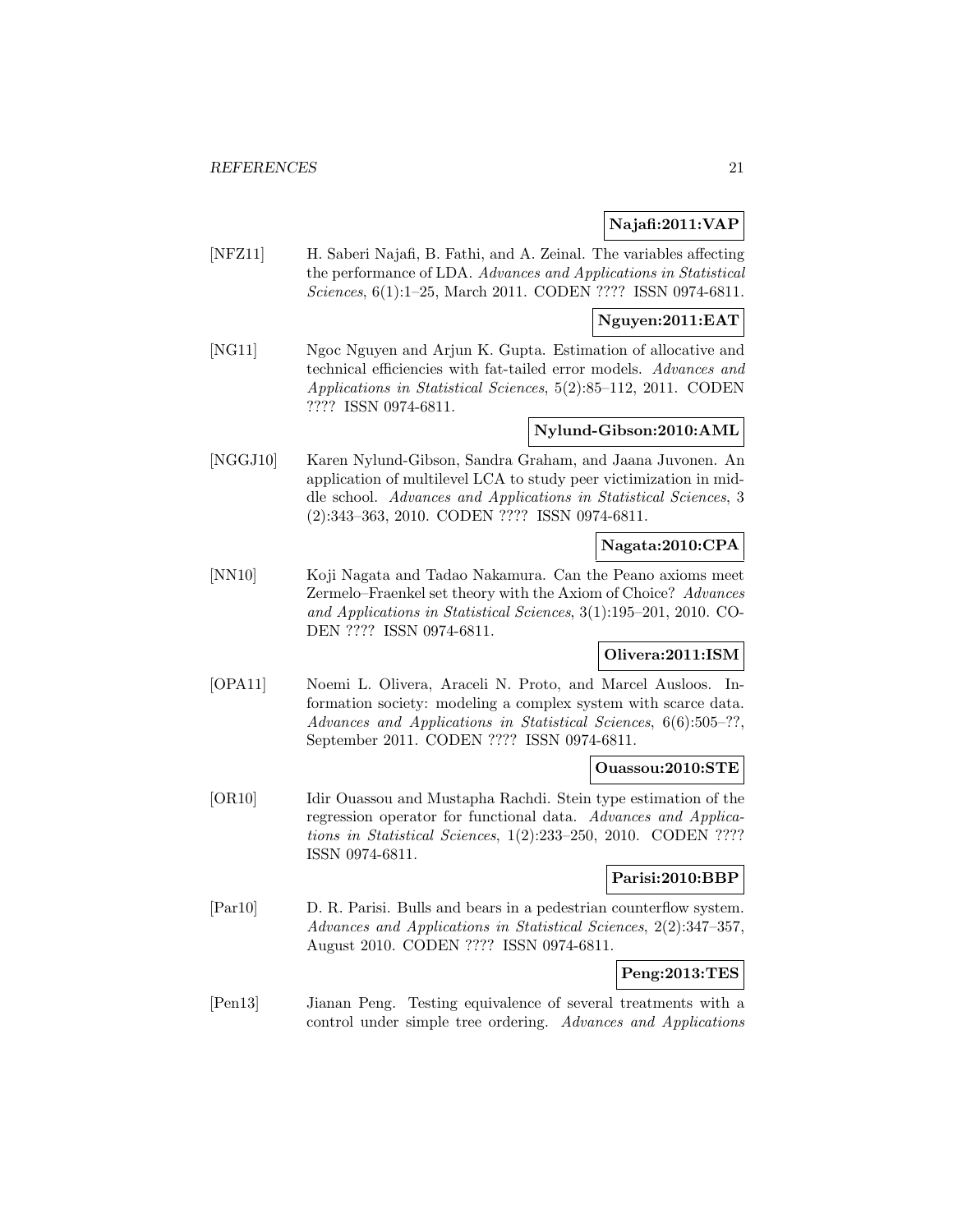# **Najafi:2011:VAP**

[NFZ11] H. Saberi Najafi, B. Fathi, and A. Zeinal. The variables affecting the performance of LDA. Advances and Applications in Statistical Sciences, 6(1):1–25, March 2011. CODEN ???? ISSN 0974-6811.

# **Nguyen:2011:EAT**

[NG11] Ngoc Nguyen and Arjun K. Gupta. Estimation of allocative and technical efficiencies with fat-tailed error models. Advances and Applications in Statistical Sciences, 5(2):85–112, 2011. CODEN ???? ISSN 0974-6811.

### **Nylund-Gibson:2010:AML**

[NGGJ10] Karen Nylund-Gibson, Sandra Graham, and Jaana Juvonen. An application of multilevel LCA to study peer victimization in middle school. Advances and Applications in Statistical Sciences, 3 (2):343–363, 2010. CODEN ???? ISSN 0974-6811.

# **Nagata:2010:CPA**

[NN10] Koji Nagata and Tadao Nakamura. Can the Peano axioms meet Zermelo–Fraenkel set theory with the Axiom of Choice? Advances and Applications in Statistical Sciences, 3(1):195–201, 2010. CO-DEN ???? ISSN 0974-6811.

# **Olivera:2011:ISM**

[OPA11] Noemi L. Olivera, Araceli N. Proto, and Marcel Ausloos. Information society: modeling a complex system with scarce data. Advances and Applications in Statistical Sciences, 6(6):505–??, September 2011. CODEN ???? ISSN 0974-6811.

# **Ouassou:2010:STE**

[OR10] Idir Ouassou and Mustapha Rachdi. Stein type estimation of the regression operator for functional data. Advances and Applications in Statistical Sciences, 1(2):233–250, 2010. CODEN ???? ISSN 0974-6811.

### **Parisi:2010:BBP**

[Par10] D. R. Parisi. Bulls and bears in a pedestrian counterflow system. Advances and Applications in Statistical Sciences, 2(2):347–357, August 2010. CODEN ???? ISSN 0974-6811.

# **Peng:2013:TES**

[Pen13] Jianan Peng. Testing equivalence of several treatments with a control under simple tree ordering. Advances and Applications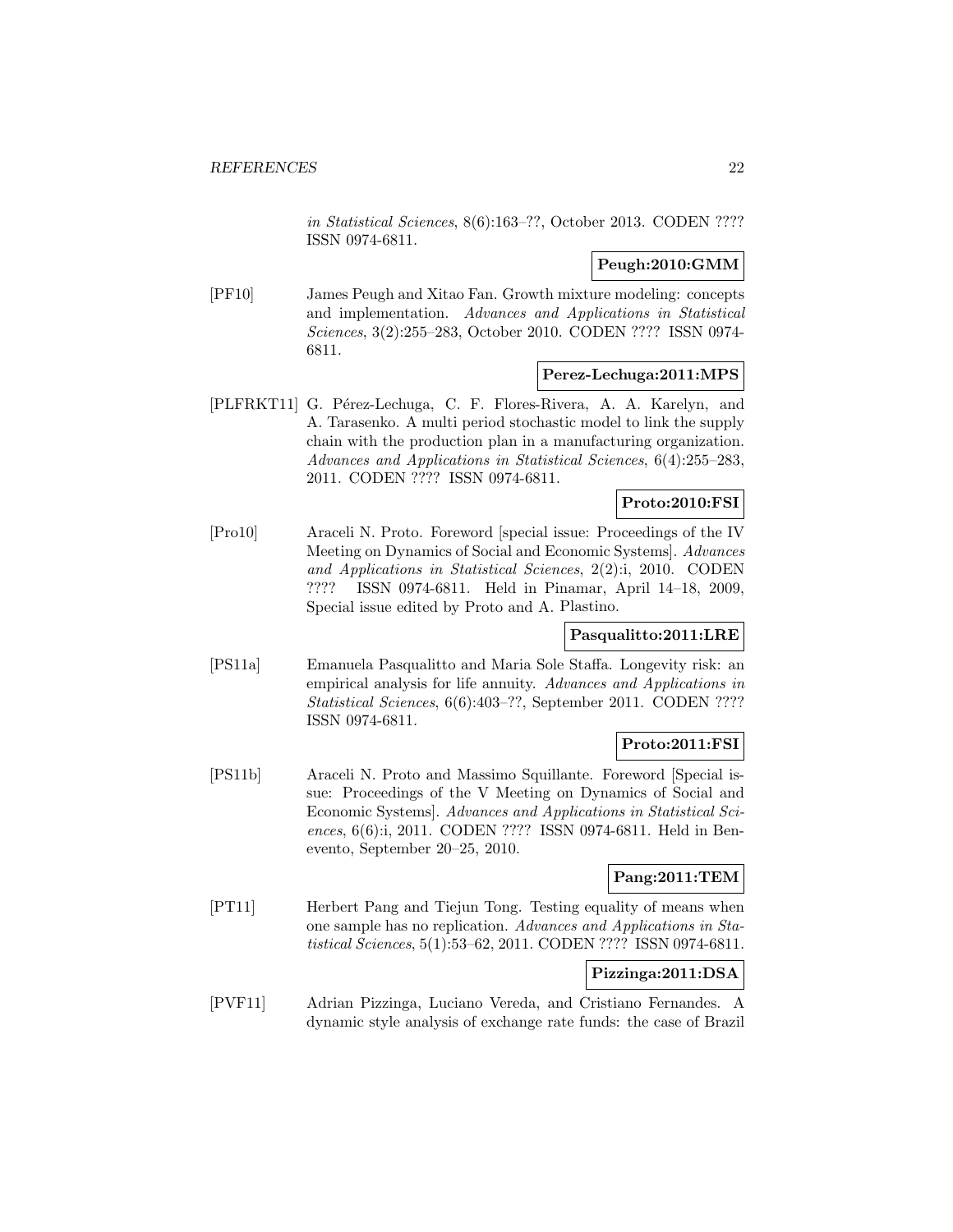in Statistical Sciences, 8(6):163–??, October 2013. CODEN ???? ISSN 0974-6811.

# **Peugh:2010:GMM**

[PF10] James Peugh and Xitao Fan. Growth mixture modeling: concepts and implementation. Advances and Applications in Statistical Sciences, 3(2):255–283, October 2010. CODEN ???? ISSN 0974- 6811.

### **Perez-Lechuga:2011:MPS**

[PLFRKT11] G. Pérez-Lechuga, C. F. Flores-Rivera, A. A. Karelyn, and A. Tarasenko. A multi period stochastic model to link the supply chain with the production plan in a manufacturing organization. Advances and Applications in Statistical Sciences, 6(4):255–283, 2011. CODEN ???? ISSN 0974-6811.

#### **Proto:2010:FSI**

[Pro10] Araceli N. Proto. Foreword [special issue: Proceedings of the IV Meeting on Dynamics of Social and Economic Systems]. Advances and Applications in Statistical Sciences, 2(2):i, 2010. CODEN ???? ISSN 0974-6811. Held in Pinamar, April 14–18, 2009, Special issue edited by Proto and A. Plastino.

### **Pasqualitto:2011:LRE**

[PS11a] Emanuela Pasqualitto and Maria Sole Staffa. Longevity risk: an empirical analysis for life annuity. Advances and Applications in Statistical Sciences, 6(6):403–??, September 2011. CODEN ???? ISSN 0974-6811.

# **Proto:2011:FSI**

[PS11b] Araceli N. Proto and Massimo Squillante. Foreword [Special issue: Proceedings of the V Meeting on Dynamics of Social and Economic Systems]. Advances and Applications in Statistical Sciences, 6(6):i, 2011. CODEN ???? ISSN 0974-6811. Held in Benevento, September 20–25, 2010.

# **Pang:2011:TEM**

[PT11] Herbert Pang and Tiejun Tong. Testing equality of means when one sample has no replication. Advances and Applications in Statistical Sciences, 5(1):53–62, 2011. CODEN ???? ISSN 0974-6811.

# **Pizzinga:2011:DSA**

[PVF11] Adrian Pizzinga, Luciano Vereda, and Cristiano Fernandes. A dynamic style analysis of exchange rate funds: the case of Brazil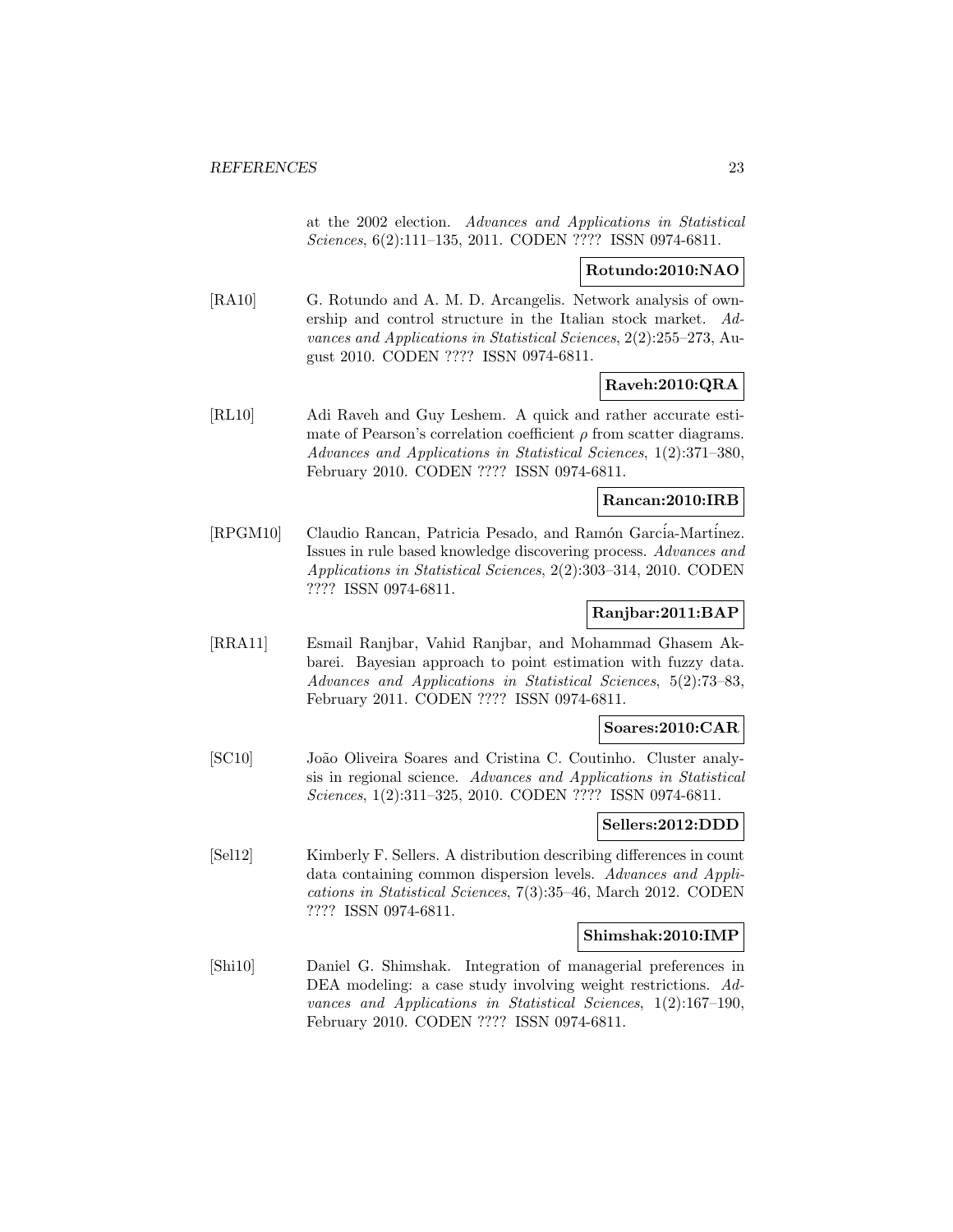at the 2002 election. Advances and Applications in Statistical Sciences, 6(2):111–135, 2011. CODEN ???? ISSN 0974-6811.

### **Rotundo:2010:NAO**

[RA10] G. Rotundo and A. M. D. Arcangelis. Network analysis of ownership and control structure in the Italian stock market. Advances and Applications in Statistical Sciences, 2(2):255–273, August 2010. CODEN ???? ISSN 0974-6811.

# **Raveh:2010:QRA**

[RL10] Adi Raveh and Guy Leshem. A quick and rather accurate estimate of Pearson's correlation coefficient  $\rho$  from scatter diagrams. Advances and Applications in Statistical Sciences, 1(2):371–380, February 2010. CODEN ???? ISSN 0974-6811.

### **Rancan:2010:IRB**

[RPGM10] Claudio Rancan, Patricia Pesado, and Ramón García-Martínez. Issues in rule based knowledge discovering process. Advances and Applications in Statistical Sciences, 2(2):303–314, 2010. CODEN ???? ISSN 0974-6811.

# **Ranjbar:2011:BAP**

[RRA11] Esmail Ranjbar, Vahid Ranjbar, and Mohammad Ghasem Akbarei. Bayesian approach to point estimation with fuzzy data. Advances and Applications in Statistical Sciences, 5(2):73–83, February 2011. CODEN ???? ISSN 0974-6811.

### **Soares:2010:CAR**

[SC10] João Oliveira Soares and Cristina C. Coutinho. Cluster analysis in regional science. Advances and Applications in Statistical Sciences, 1(2):311–325, 2010. CODEN ???? ISSN 0974-6811.

### **Sellers:2012:DDD**

[Sel12] Kimberly F. Sellers. A distribution describing differences in count data containing common dispersion levels. Advances and Applications in Statistical Sciences, 7(3):35–46, March 2012. CODEN ???? ISSN 0974-6811.

#### **Shimshak:2010:IMP**

[Shi10] Daniel G. Shimshak. Integration of managerial preferences in DEA modeling: a case study involving weight restrictions. Advances and Applications in Statistical Sciences, 1(2):167–190, February 2010. CODEN ???? ISSN 0974-6811.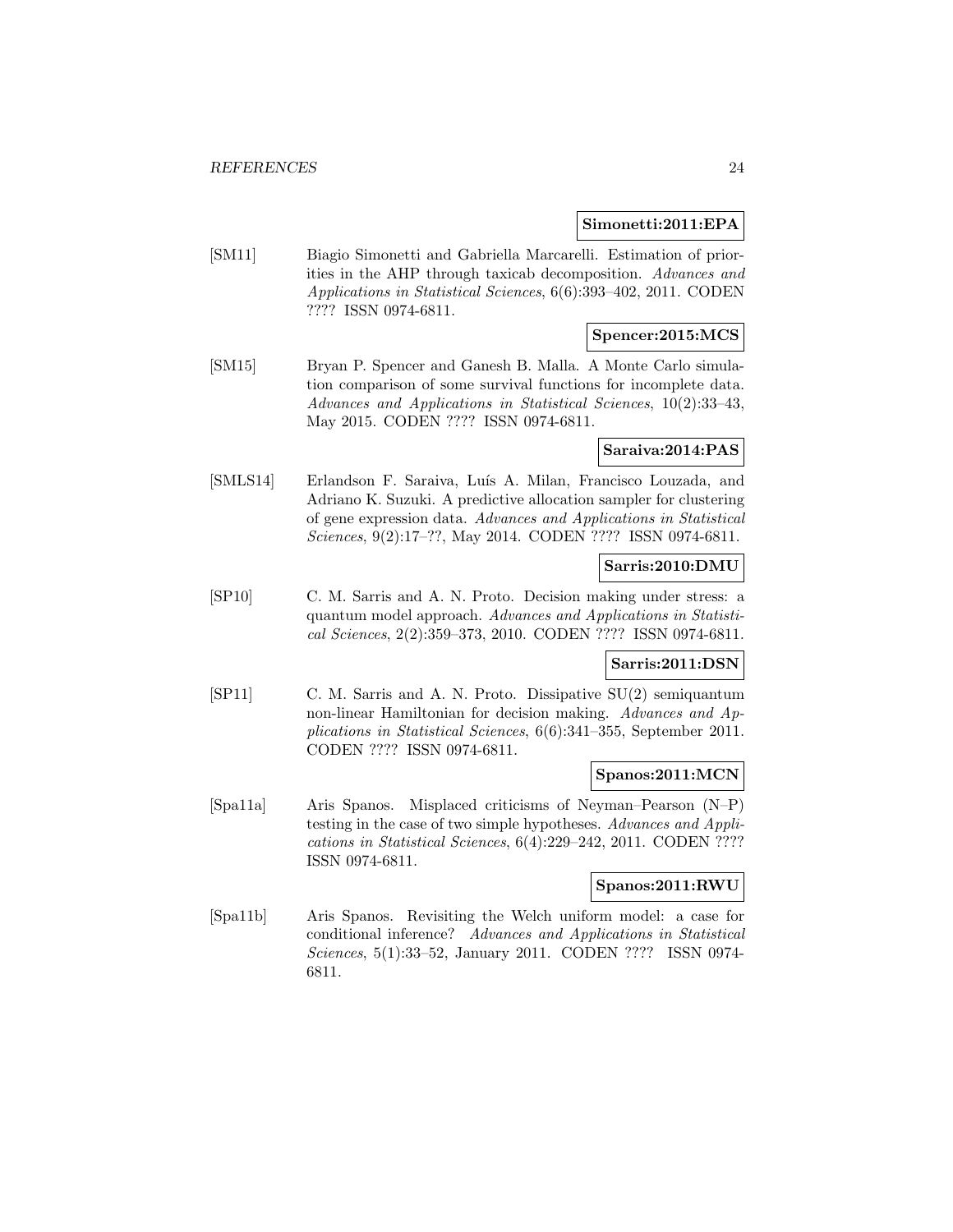### **Simonetti:2011:EPA**

[SM11] Biagio Simonetti and Gabriella Marcarelli. Estimation of priorities in the AHP through taxicab decomposition. Advances and Applications in Statistical Sciences, 6(6):393–402, 2011. CODEN ???? ISSN 0974-6811.

# **Spencer:2015:MCS**

[SM15] Bryan P. Spencer and Ganesh B. Malla. A Monte Carlo simulation comparison of some survival functions for incomplete data. Advances and Applications in Statistical Sciences, 10(2):33–43, May 2015. CODEN ???? ISSN 0974-6811.

# **Saraiva:2014:PAS**

[SMLS14] Erlandson F. Saraiva, Luís A. Milan, Francisco Louzada, and Adriano K. Suzuki. A predictive allocation sampler for clustering of gene expression data. Advances and Applications in Statistical Sciences, 9(2):17–??, May 2014. CODEN ???? ISSN 0974-6811.

# **Sarris:2010:DMU**

[SP10] C. M. Sarris and A. N. Proto. Decision making under stress: a quantum model approach. Advances and Applications in Statistical Sciences, 2(2):359–373, 2010. CODEN ???? ISSN 0974-6811.

### **Sarris:2011:DSN**

[SP11] C. M. Sarris and A. N. Proto. Dissipative SU(2) semiquantum non-linear Hamiltonian for decision making. Advances and Applications in Statistical Sciences, 6(6):341–355, September 2011. CODEN ???? ISSN 0974-6811.

# **Spanos:2011:MCN**

[Spa11a] Aris Spanos. Misplaced criticisms of Neyman–Pearson (N–P) testing in the case of two simple hypotheses. Advances and Applications in Statistical Sciences, 6(4):229–242, 2011. CODEN ???? ISSN 0974-6811.

### **Spanos:2011:RWU**

[Spa11b] Aris Spanos. Revisiting the Welch uniform model: a case for conditional inference? Advances and Applications in Statistical Sciences, 5(1):33–52, January 2011. CODEN ???? ISSN 0974- 6811.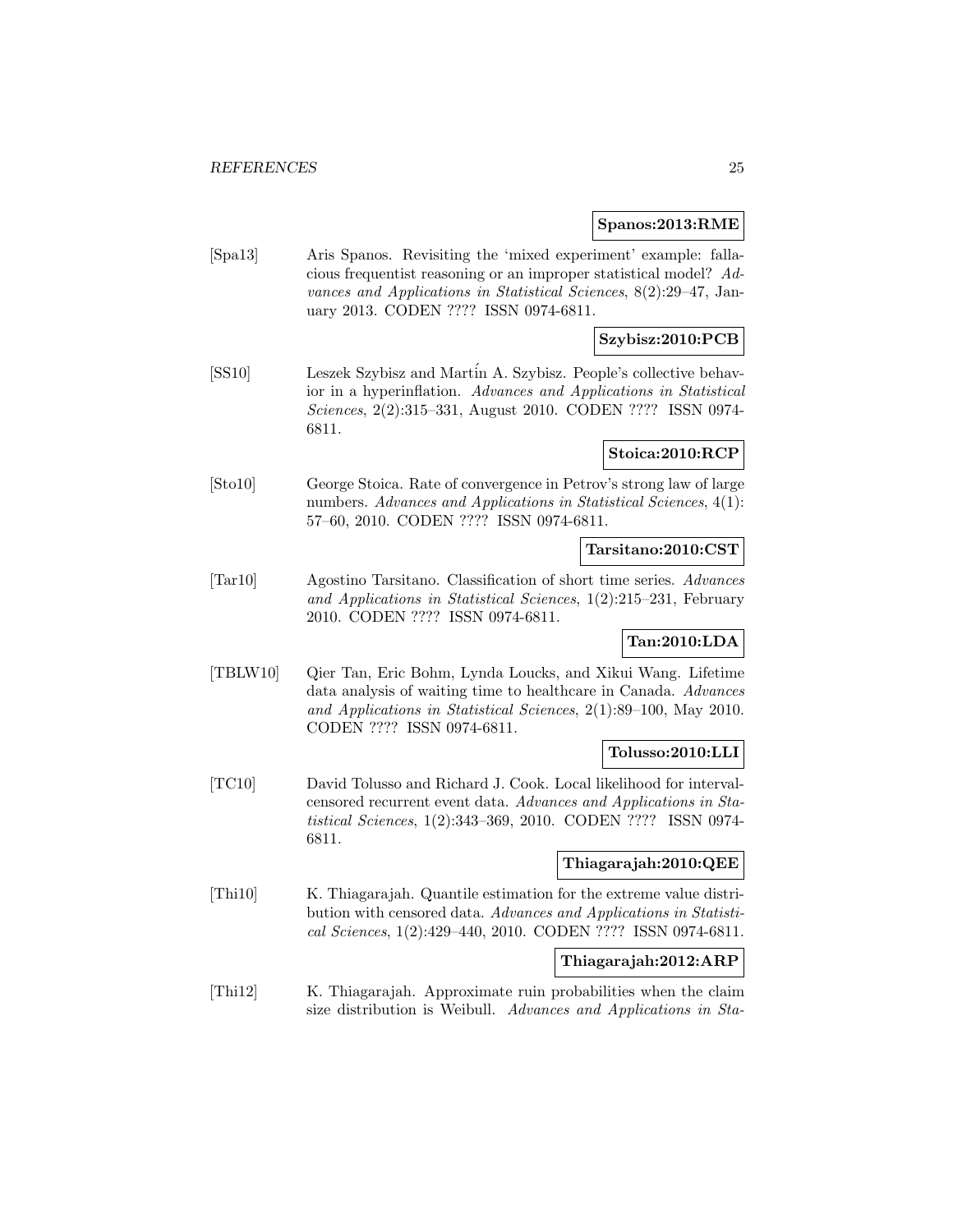### **Spanos:2013:RME**

[Spa13] Aris Spanos. Revisiting the 'mixed experiment' example: fallacious frequentist reasoning or an improper statistical model? Advances and Applications in Statistical Sciences, 8(2):29–47, January 2013. CODEN ???? ISSN 0974-6811.

# **Szybisz:2010:PCB**

[SS10] Leszek Szybisz and Martin A. Szybisz. People's collective behavior in a hyperinflation. Advances and Applications in Statistical Sciences, 2(2):315–331, August 2010. CODEN ???? ISSN 0974- 6811.

### **Stoica:2010:RCP**

[Sto10] George Stoica. Rate of convergence in Petrov's strong law of large numbers. Advances and Applications in Statistical Sciences, 4(1): 57–60, 2010. CODEN ???? ISSN 0974-6811.

# **Tarsitano:2010:CST**

[Tar10] Agostino Tarsitano. Classification of short time series. Advances and Applications in Statistical Sciences, 1(2):215–231, February 2010. CODEN ???? ISSN 0974-6811.

# **Tan:2010:LDA**

[TBLW10] Qier Tan, Eric Bohm, Lynda Loucks, and Xikui Wang. Lifetime data analysis of waiting time to healthcare in Canada. Advances and Applications in Statistical Sciences, 2(1):89–100, May 2010. CODEN ???? ISSN 0974-6811.

# **Tolusso:2010:LLI**

[TC10] David Tolusso and Richard J. Cook. Local likelihood for intervalcensored recurrent event data. Advances and Applications in Statistical Sciences, 1(2):343–369, 2010. CODEN ???? ISSN 0974- 6811.

### **Thiagarajah:2010:QEE**

[Thi10] K. Thiagarajah. Quantile estimation for the extreme value distribution with censored data. Advances and Applications in Statistical Sciences, 1(2):429–440, 2010. CODEN ???? ISSN 0974-6811.

# **Thiagarajah:2012:ARP**

[Thi12] K. Thiagarajah. Approximate ruin probabilities when the claim size distribution is Weibull. Advances and Applications in Sta-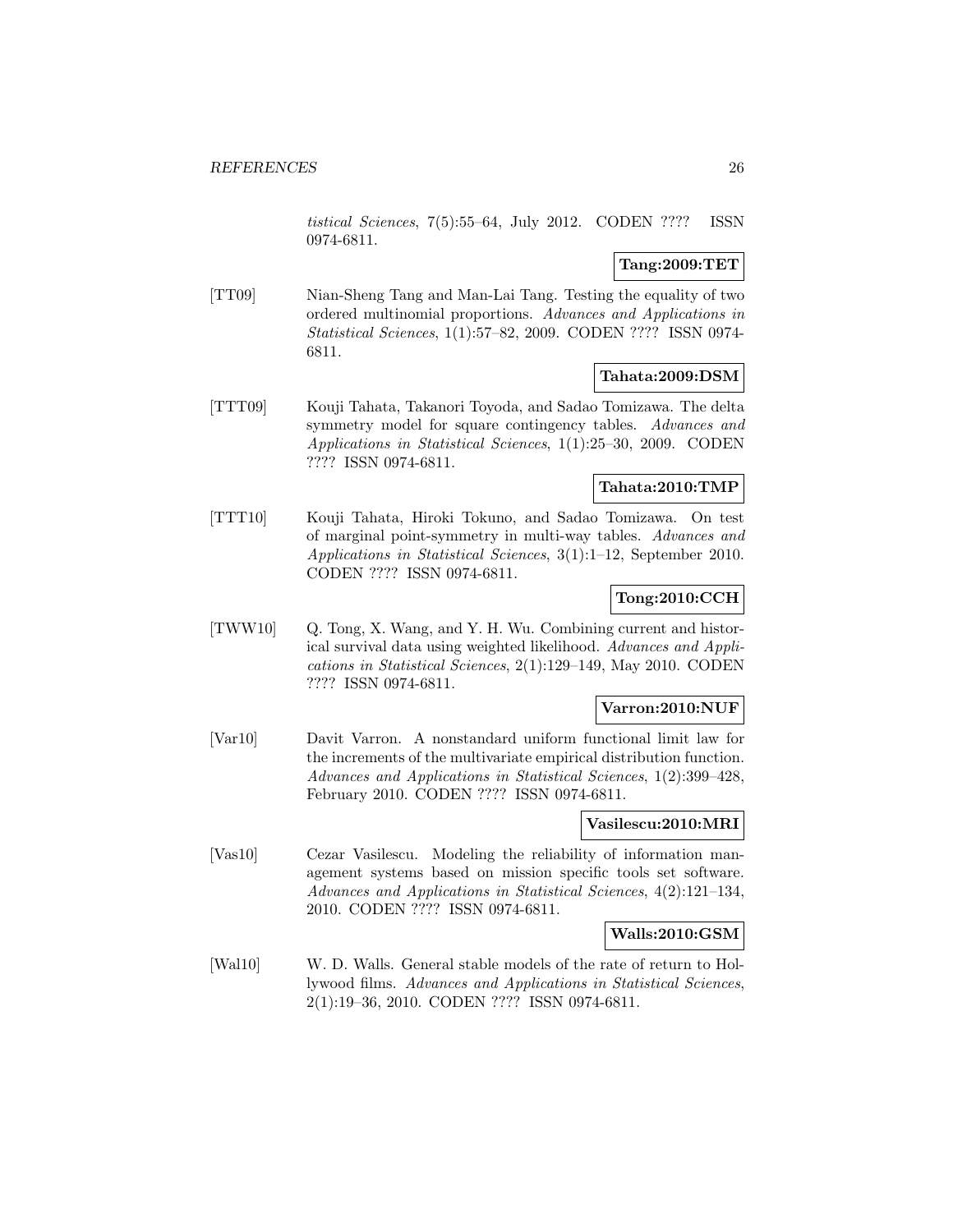tistical Sciences, 7(5):55–64, July 2012. CODEN ???? ISSN 0974-6811.

# **Tang:2009:TET**

[TT09] Nian-Sheng Tang and Man-Lai Tang. Testing the equality of two ordered multinomial proportions. Advances and Applications in Statistical Sciences, 1(1):57–82, 2009. CODEN ???? ISSN 0974- 6811.

### **Tahata:2009:DSM**

[TTT09] Kouji Tahata, Takanori Toyoda, and Sadao Tomizawa. The delta symmetry model for square contingency tables. Advances and Applications in Statistical Sciences, 1(1):25–30, 2009. CODEN ???? ISSN 0974-6811.

# **Tahata:2010:TMP**

[TTT10] Kouji Tahata, Hiroki Tokuno, and Sadao Tomizawa. On test of marginal point-symmetry in multi-way tables. Advances and Applications in Statistical Sciences, 3(1):1–12, September 2010. CODEN ???? ISSN 0974-6811.

# **Tong:2010:CCH**

[TWW10] Q. Tong, X. Wang, and Y. H. Wu. Combining current and historical survival data using weighted likelihood. Advances and Applications in Statistical Sciences, 2(1):129–149, May 2010. CODEN ???? ISSN 0974-6811.

### **Varron:2010:NUF**

[Var10] Davit Varron. A nonstandard uniform functional limit law for the increments of the multivariate empirical distribution function. Advances and Applications in Statistical Sciences, 1(2):399–428, February 2010. CODEN ???? ISSN 0974-6811.

# **Vasilescu:2010:MRI**

[Vas10] Cezar Vasilescu. Modeling the reliability of information management systems based on mission specific tools set software. Advances and Applications in Statistical Sciences, 4(2):121–134, 2010. CODEN ???? ISSN 0974-6811.

### **Walls:2010:GSM**

[Wal10] W. D. Walls. General stable models of the rate of return to Hollywood films. Advances and Applications in Statistical Sciences, 2(1):19–36, 2010. CODEN ???? ISSN 0974-6811.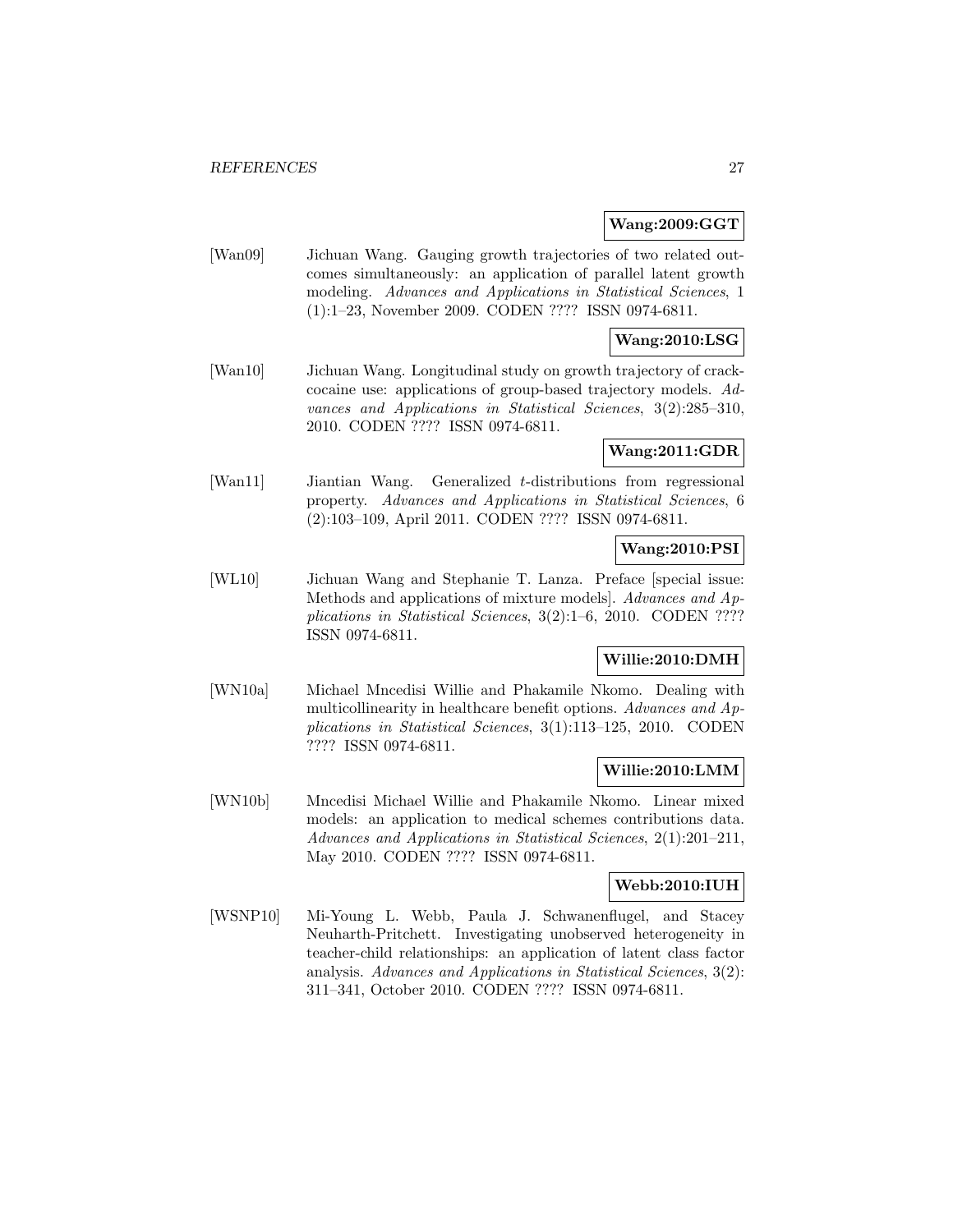### **Wang:2009:GGT**

[Wan09] Jichuan Wang. Gauging growth trajectories of two related outcomes simultaneously: an application of parallel latent growth modeling. Advances and Applications in Statistical Sciences, 1 (1):1–23, November 2009. CODEN ???? ISSN 0974-6811.

# **Wang:2010:LSG**

[Wan10] Jichuan Wang. Longitudinal study on growth trajectory of crackcocaine use: applications of group-based trajectory models. Advances and Applications in Statistical Sciences, 3(2):285–310, 2010. CODEN ???? ISSN 0974-6811.

# **Wang:2011:GDR**

[Wan11] Jiantian Wang. Generalized t-distributions from regressional property. Advances and Applications in Statistical Sciences, 6 (2):103–109, April 2011. CODEN ???? ISSN 0974-6811.

### **Wang:2010:PSI**

[WL10] Jichuan Wang and Stephanie T. Lanza. Preface [special issue: Methods and applications of mixture models]. Advances and Applications in Statistical Sciences, 3(2):1–6, 2010. CODEN ???? ISSN 0974-6811.

### **Willie:2010:DMH**

[WN10a] Michael Mncedisi Willie and Phakamile Nkomo. Dealing with multicollinearity in healthcare benefit options. Advances and Applications in Statistical Sciences, 3(1):113–125, 2010. CODEN ???? ISSN 0974-6811.

# **Willie:2010:LMM**

[WN10b] Mncedisi Michael Willie and Phakamile Nkomo. Linear mixed models: an application to medical schemes contributions data. Advances and Applications in Statistical Sciences, 2(1):201–211, May 2010. CODEN ???? ISSN 0974-6811.

# **Webb:2010:IUH**

[WSNP10] Mi-Young L. Webb, Paula J. Schwanenflugel, and Stacey Neuharth-Pritchett. Investigating unobserved heterogeneity in teacher-child relationships: an application of latent class factor analysis. Advances and Applications in Statistical Sciences, 3(2): 311–341, October 2010. CODEN ???? ISSN 0974-6811.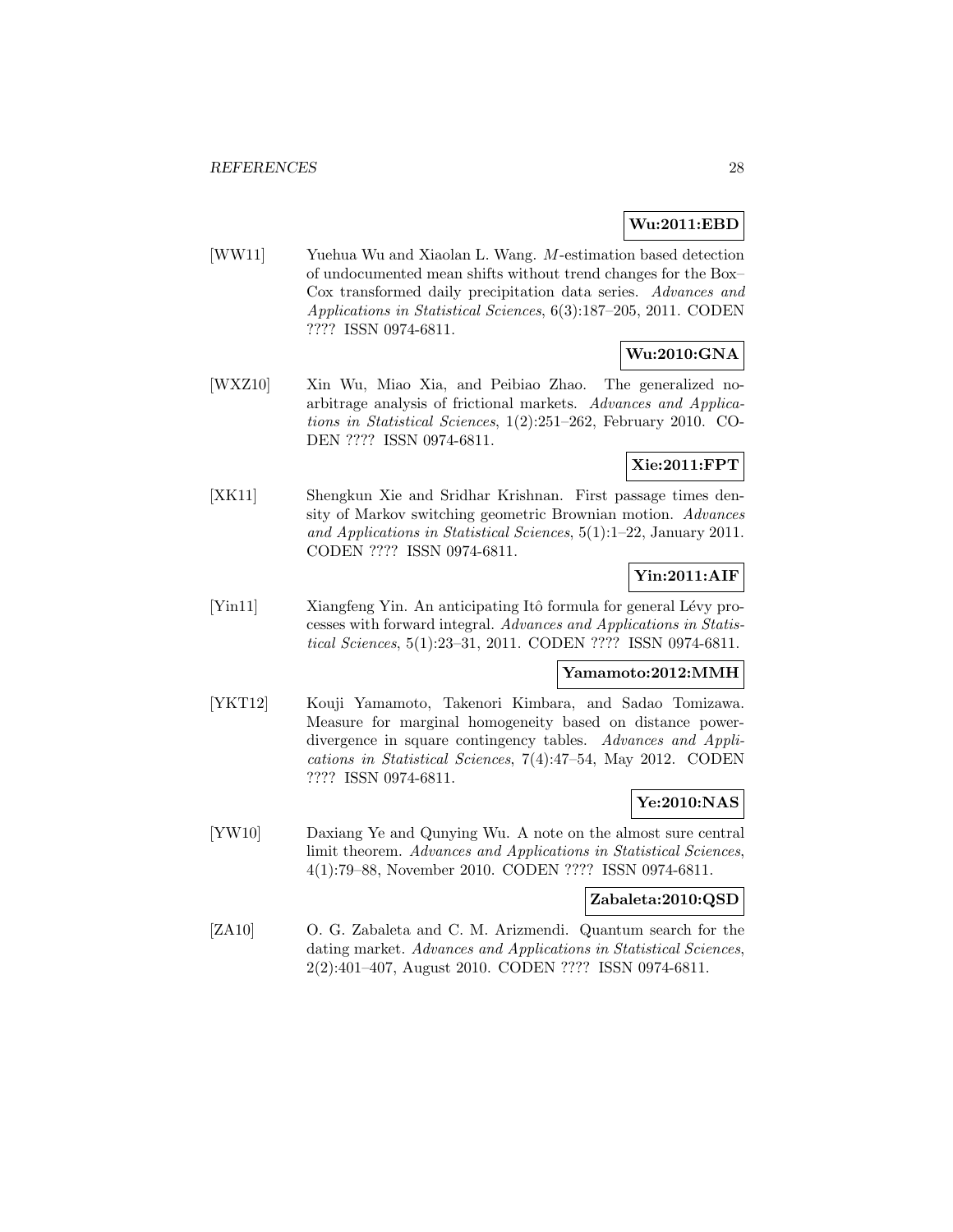# **Wu:2011:EBD**

[WW11] Yuehua Wu and Xiaolan L. Wang. M-estimation based detection of undocumented mean shifts without trend changes for the Box– Cox transformed daily precipitation data series. Advances and Applications in Statistical Sciences, 6(3):187–205, 2011. CODEN ???? ISSN 0974-6811.

# **Wu:2010:GNA**

[WXZ10] Xin Wu, Miao Xia, and Peibiao Zhao. The generalized noarbitrage analysis of frictional markets. Advances and Applications in Statistical Sciences, 1(2):251–262, February 2010. CO-DEN ???? ISSN 0974-6811.

# **Xie:2011:FPT**

[XK11] Shengkun Xie and Sridhar Krishnan. First passage times density of Markov switching geometric Brownian motion. Advances and Applications in Statistical Sciences, 5(1):1–22, January 2011. CODEN ???? ISSN 0974-6811.

# **Yin:2011:AIF**

[Yin11] Xiangfeng Yin. An anticipating Itô formula for general Lévy processes with forward integral. Advances and Applications in Statistical Sciences, 5(1):23–31, 2011. CODEN ???? ISSN 0974-6811.

### **Yamamoto:2012:MMH**

[YKT12] Kouji Yamamoto, Takenori Kimbara, and Sadao Tomizawa. Measure for marginal homogeneity based on distance powerdivergence in square contingency tables. Advances and Applications in Statistical Sciences, 7(4):47–54, May 2012. CODEN ???? ISSN 0974-6811.

# **Ye:2010:NAS**

[YW10] Daxiang Ye and Qunying Wu. A note on the almost sure central limit theorem. Advances and Applications in Statistical Sciences, 4(1):79–88, November 2010. CODEN ???? ISSN 0974-6811.

# **Zabaleta:2010:QSD**

[ZA10] O. G. Zabaleta and C. M. Arizmendi. Quantum search for the dating market. Advances and Applications in Statistical Sciences, 2(2):401–407, August 2010. CODEN ???? ISSN 0974-6811.